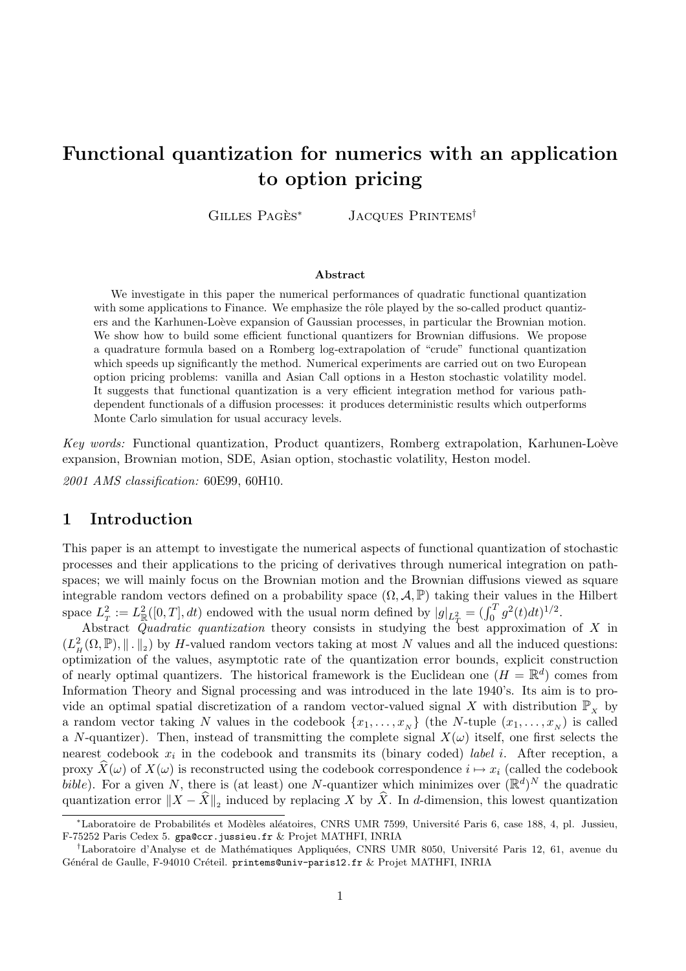# Functional quantization for numerics with an application to option pricing

GILLES PAGÈS<sup>\*</sup> JACQUES PRINTEMS<sup>†</sup>

#### Abstract

We investigate in this paper the numerical performances of quadratic functional quantization with some applications to Finance. We emphasize the rôle played by the so-called product quantizers and the Karhunen-Loève expansion of Gaussian processes, in particular the Brownian motion. We show how to build some efficient functional quantizers for Brownian diffusions. We propose a quadrature formula based on a Romberg log-extrapolation of "crude" functional quantization which speeds up significantly the method. Numerical experiments are carried out on two European option pricing problems: vanilla and Asian Call options in a Heston stochastic volatility model. It suggests that functional quantization is a very efficient integration method for various pathdependent functionals of a diffusion processes: it produces deterministic results which outperforms Monte Carlo simulation for usual accuracy levels.

Key words: Functional quantization, Product quantizers, Romberg extrapolation, Karhunen-Loève expansion, Brownian motion, SDE, Asian option, stochastic volatility, Heston model.

2001 AMS classification: 60E99, 60H10.

## 1 Introduction

This paper is an attempt to investigate the numerical aspects of functional quantization of stochastic processes and their applications to the pricing of derivatives through numerical integration on pathspaces; we will mainly focus on the Brownian motion and the Brownian diffusions viewed as square integrable random vectors defined on a probability space  $(\Omega, \mathcal{A}, \mathbb{P})$  taking their values in the Hilbert space  $L_T^2 := L^2_{\mathbb{R}}([0,T], dt)$  endowed with the usual norm defined by  $|g|_{L^2_T} = (\int_0^T g^2(t)dt)^{1/2}$ .

Abstract *Quadratic quantization* theory consists in studying the best approximation of X in  $(L^2_{\scriptscriptstyle H}(\Omega,\mathbb{P}),\|\,.\,\|_2)$  by H-valued random vectors taking at most N values and all the induced questions: optimization of the values, asymptotic rate of the quantization error bounds, explicit construction of nearly optimal quantizers. The historical framework is the Euclidean one  $(H = \mathbb{R}^d)$  comes from Information Theory and Signal processing and was introduced in the late 1940's. Its aim is to provide an optimal spatial discretization of a random vector-valued signal X with distribution  $\mathbb{P}_x$  by a random vector taking N values in the codebook  $\{x_1, \ldots, x_N\}$  (the N-tuple  $(x_1, \ldots, x_N)$ ) is called a N-quantizer). Then, instead of transmitting the complete signal  $X(\omega)$  itself, one first selects the nearest codebook  $x_i$  in the codebook and transmits its (binary coded) *label i*. After reception, a proxy  $\widehat{X}(\omega)$  of  $X(\omega)$  is reconstructed using the codebook correspondence  $i \mapsto x_i$  (called the codebook bible). For a given N, there is (at least) one N-quantizer which minimizes over  $(\mathbb{R}^d)^N$  the quadratic quantization error  $||X - \hat{X}||_2$  induced by replacing X by  $\hat{X}$ . In d-dimension, this lowest quantization

<sup>\*</sup>Laboratoire de Probabilités et Modèles aléatoires, CNRS UMR 7599, Université Paris 6, case 188, 4, pl. Jussieu, F-75252 Paris Cedex 5. gpa@ccr.jussieu.fr & Projet MATHFI, INRIA

<sup>&</sup>lt;sup>†</sup>Laboratoire d'Analyse et de Mathématiques Appliquées, CNRS UMR 8050, Université Paris 12, 61, avenue du Général de Gaulle, F-94010 Créteil. printems@univ-paris12.fr & Projet MATHFI, INRIA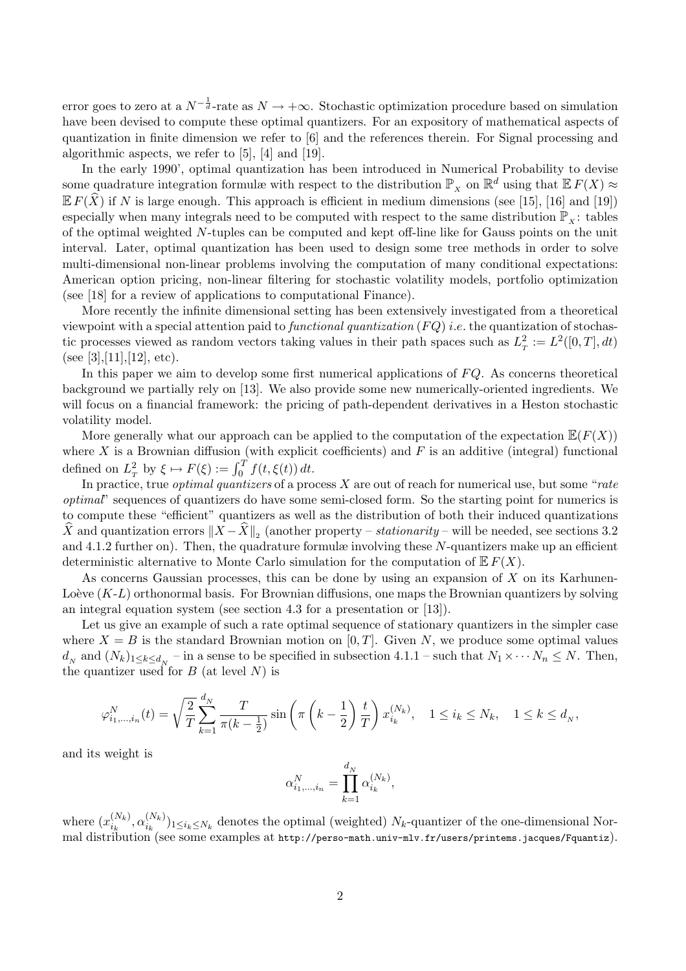error goes to zero at a  $N^{-\frac{1}{d}}$ -rate as  $N \to +\infty$ . Stochastic optimization procedure based on simulation have been devised to compute these optimal quantizers. For an expository of mathematical aspects of quantization in finite dimension we refer to [6] and the references therein. For Signal processing and algorithmic aspects, we refer to [5], [4] and [19].

In the early 1990', optimal quantization has been introduced in Numerical Probability to devise some quadrature integration formulæ with respect to the distribution  $\mathbb{P}_x$  on  $\mathbb{R}^d$  using that  $\mathbb{E} F(X) \approx$  $\mathbb{E} F(\hat{X})$  if N is large enough. This approach is efficient in medium dimensions (see [15], [16] and [19]) especially when many integrals need to be computed with respect to the same distribution  $\mathbb{P}_x$ : tables of the optimal weighted N-tuples can be computed and kept off-line like for Gauss points on the unit interval. Later, optimal quantization has been used to design some tree methods in order to solve multi-dimensional non-linear problems involving the computation of many conditional expectations: American option pricing, non-linear filtering for stochastic volatility models, portfolio optimization (see [18] for a review of applications to computational Finance).

More recently the infinite dimensional setting has been extensively investigated from a theoretical viewpoint with a special attention paid to functional quantization  $(FQ)$  i.e. the quantization of stochastic processes viewed as random vectors taking values in their path spaces such as  $L_T^2 := L^2([0,T], dt)$ (see [3], [11], [12], etc).

In this paper we aim to develop some first numerical applications of  $FQ$ . As concerns theoretical background we partially rely on [13]. We also provide some new numerically-oriented ingredients. We will focus on a financial framework: the pricing of path-dependent derivatives in a Heston stochastic volatility model.

More generally what our approach can be applied to the computation of the expectation  $\mathbb{E}(F(X))$ where  $X$  is a Brownian diffusion (with explicit coefficients) and  $F$  is an additive (integral) functional where  $\Lambda$  is a Browman dimusion (with explicit  $\phi$ ) defined on  $L_T^2$  by  $\xi \mapsto F(\xi) := \int_0^T f(t, \xi(t)) dt$ .

In practice, true *optimal quantizers* of a process  $X$  are out of reach for numerical use, but some "rate optimal" sequences of quantizers do have some semi-closed form. So the starting point for numerics is to compute these "efficient" quantizers as well as the distribution of both their induced quantizations  $\hat{X}$  and quantization errors  $\|\hat{X} - \hat{X}\|_2$  (another property – stationarity – will be needed, see sections 3.2 and 4.1.2 further on). Then, the quadrature formulæ involving these N-quantizers make up an efficient deterministic alternative to Monte Carlo simulation for the computation of  $E F(X)$ .

As concerns Gaussian processes, this can be done by using an expansion of  $X$  on its Karhunen-Loève  $(K-L)$  orthonormal basis. For Brownian diffusions, one maps the Brownian quantizers by solving an integral equation system (see section 4.3 for a presentation or [13]).

Let us give an example of such a rate optimal sequence of stationary quantizers in the simpler case where  $X = B$  is the standard Brownian motion on [0, T]. Given N, we produce some optimal values  $d_N$  and  $(N_k)_{1\leq k\leq d_N}$  – in a sense to be specified in subsection 4.1.1 – such that  $N_1\times\cdots N_n\leq N$ . Then, the quantizer used for  $B$  (at level  $N$ ) is

$$
\varphi^N_{i_1,\dots,i_n}(t) = \sqrt{\frac{2}{T}} \sum_{k=1}^{d_N} \frac{T}{\pi(k-\frac{1}{2})} \sin\left(\pi\left(k-\frac{1}{2}\right) \frac{t}{T}\right) x_{i_k}^{(N_k)}, \quad 1 \le i_k \le N_k, \quad 1 \le k \le d_N,
$$

and its weight is

$$
\alpha_{i_1,...,i_n}^N = \prod_{k=1}^{d_N} \alpha_{i_k}^{(N_k)},
$$

where  $(x_i^{(N_k)}$  $\stackrel{(N_k)}{_{i_k}}, \alpha_{i_k}^{(N_k)}$  $\sum_{i_k}^{(N_k)}$ <sub>1≤i<sub>k</sub>  $\leq N_k$  denotes the optimal (weighted)  $N_k$ -quantizer of the one-dimensional Nor-</sub> mal distribution (see some examples at http://perso-math.univ-mlv.fr/users/printems.jacques/Fquantiz).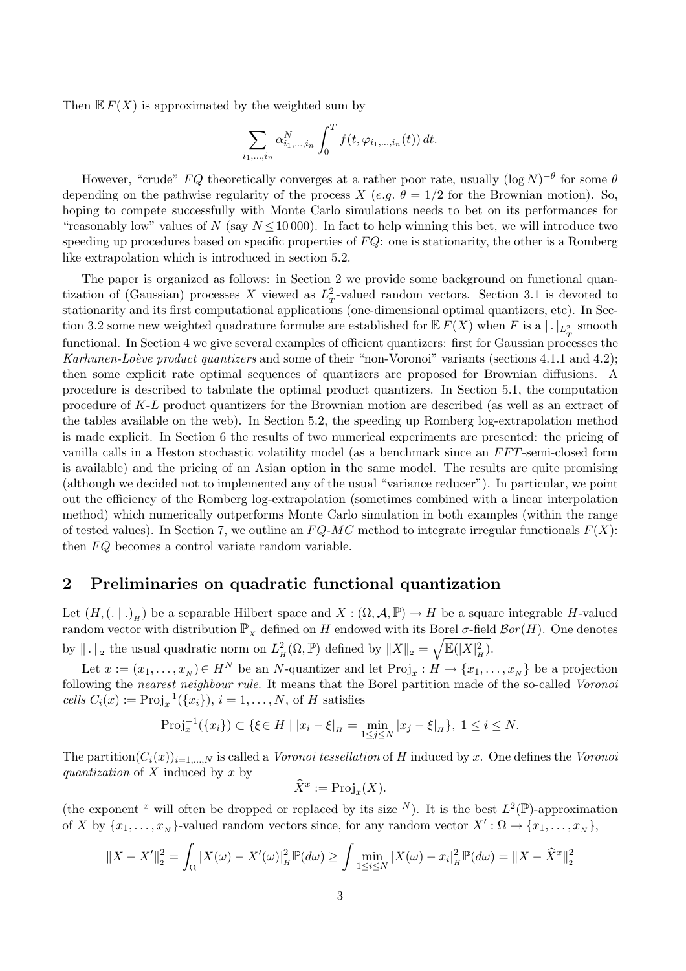Then  $E F(X)$  is approximated by the weighted sum by

$$
\sum_{i_1,\dots,i_n} \alpha_{i_1,\dots,i_n}^N \int_0^T f(t, \varphi_{i_1,\dots,i_n}(t)) dt.
$$

However, "crude" FQ theoretically converges at a rather poor rate, usually  $(\log N)^{-\theta}$  for some  $\theta$ depending on the pathwise regularity of the process X (e.g.  $\theta = 1/2$  for the Brownian motion). So, hoping to compete successfully with Monte Carlo simulations needs to bet on its performances for "reasonably low" values of N (say  $N \le 10000$ ). In fact to help winning this bet, we will introduce two speeding up procedures based on specific properties of  $FQ$ : one is stationarity, the other is a Romberg like extrapolation which is introduced in section 5.2.

The paper is organized as follows: in Section 2 we provide some background on functional quantization of (Gaussian) processes X viewed as  $L_T^2$ -valued random vectors. Section 3.1 is devoted to stationarity and its first computational applications (one-dimensional optimal quantizers, etc). In Section 3.2 some new weighted quadrature formulæ are established for  $E F(X)$  when F is a  $| \cdot |_{L^2_T}$  smooth functional. In Section 4 we give several examples of efficient quantizers: first for Gaussian processes the Karhunen-Loève product quantizers and some of their "non-Voronoi" variants (sections 4.1.1 and 4.2); then some explicit rate optimal sequences of quantizers are proposed for Brownian diffusions. A procedure is described to tabulate the optimal product quantizers. In Section 5.1, the computation procedure of K-L product quantizers for the Brownian motion are described (as well as an extract of the tables available on the web). In Section 5.2, the speeding up Romberg log-extrapolation method is made explicit. In Section 6 the results of two numerical experiments are presented: the pricing of vanilla calls in a Heston stochastic volatility model (as a benchmark since an  $FFT$ -semi-closed form is available) and the pricing of an Asian option in the same model. The results are quite promising (although we decided not to implemented any of the usual "variance reducer"). In particular, we point out the efficiency of the Romberg log-extrapolation (sometimes combined with a linear interpolation method) which numerically outperforms Monte Carlo simulation in both examples (within the range of tested values). In Section 7, we outline an  $FQ-MC$  method to integrate irregular functionals  $F(X)$ : then  $FQ$  becomes a control variate random variable.

## 2 Preliminaries on quadratic functional quantization

Let  $(H, (\ldots)_H)$  be a separable Hilbert space and  $X : (\Omega, \mathcal{A}, \mathbb{P}) \to H$  be a square integrable H-valued random vector with distribution  $\mathbb{P}_x$  defined on H endowed with its Borel  $\sigma$ -field  $\mathcal{B}or(H)$ . One denotes by  $\|\cdot\|_2$  the usual quadratic norm on  $L^2_{\scriptscriptstyle H}(\Omega,\mathbb{P})$  defined by  $\|X\|_2 = \sqrt{\mathbb{E}(|X|^2_{\scriptscriptstyle H})}$ .

Let  $x := (x_1, \ldots, x_N) \in H^N$  be an N-quantizer and let  $\text{Proj}_x : H \to \{x_1, \ldots, x_N\}$  be a projection following the nearest neighbour rule. It means that the Borel partition made of the so-called Voronoi cells  $C_i(x) := \text{Proj}_x^{-1}(\{x_i\}), i = 1, \ldots, N$ , of H satisfies

$$
\text{Proj}_{x}^{-1}(\{x_{i}\}) \subset \{\xi \in H \mid |x_{i} - \xi|_{H} = \min_{1 \leq j \leq N} |x_{j} - \xi|_{H}\}, \ 1 \leq i \leq N.
$$

The partition $(C_i(x))_{i=1,\dots,N}$  is called a *Voronoi tessellation* of H induced by x. One defines the *Voronoi* quantization of X induced by x by

$$
\widehat{X}^x := \mathrm{Proj}_x(X).
$$

(the exponent <sup>x</sup> will often be dropped or replaced by its size <sup>N</sup>). It is the best  $L^2(\mathbb{P})$ -approximation of X by  $\{x_1, \ldots, x_N\}$ -valued random vectors since, for any random vector  $X': \Omega \to \{x_1, \ldots, x_N\}$ ,

$$
||X - X'||_2^2 = \int_{\Omega} |X(\omega) - X'(\omega)|_H^2 \mathbb{P}(d\omega) \ge \int \min_{1 \le i \le N} |X(\omega) - x_i|_H^2 \mathbb{P}(d\omega) = ||X - \widehat{X}^x||_2^2
$$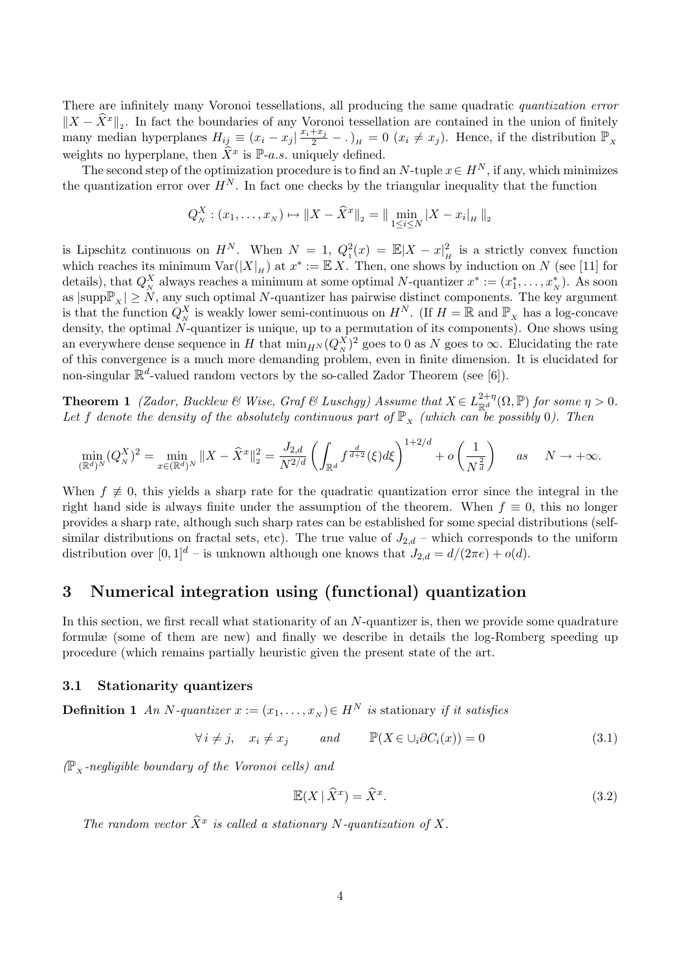There are infinitely many Voronoi tessellations, all producing the same quadratic *quantization error*  $||X - \hat{X}^x||_2$ . In fact the boundaries of any Voronoi tessellation are contained in the union of finitely many median hyperplanes  $H_{ij} \equiv (x_i - x_j | \frac{x_i + x_j}{2} - .)_{H} = 0 \ (x_i \neq x_j)$ . Hence, if the distribution  $\mathbb{P}_{X}$ weights no hyperplane, then  $\hat{X}^x$  is  $\mathbb{P}\text{-}a.s.$  uniquely defined.

The second step of the optimization procedure is to find an N-tuple  $x \in H^N$ , if any, which minimizes the quantization error over  $H^N$ . In fact one checks by the triangular inequality that the function

$$
Q_N^X : (x_1, \dots, x_N) \mapsto ||X - \widehat{X}^x||_2 = ||\min_{1 \le i \le N} |X - x_i|_H ||_2
$$

is Lipschitz continuous on  $H^N$ . When  $N = 1$ ,  $Q_1^2(x) = \mathbb{E}|X - x|_H^2$  is a strictly convex function which reaches its minimum  $\text{Var}(|X|_{H})$  at  $x^* := \mathbb{E}[X]$ . Then, one shows by induction on N (see [11] for details), that  $Q_N^X$  always reaches a minimum at some optimal N-quantizer  $x^* := (x_1^*, \ldots, x_N^*)$ . As soon as  $|\text{supp}\mathbb{P}_X|\geq N$ , any such optimal N-quantizer has pairwise distinct components. The key argument is that the function  $Q_N^X$  is weakly lower semi-continuous on  $H^N$ . (If  $H = \mathbb{R}$  and  $\mathbb{P}_X$  has a log-concave density, the optimal N-quantizer is unique, up to a permutation of its components). One shows using an everywhere dense sequence in H that  $\min_{H^N}(Q_N^X)^2$  goes to 0 as N goes to  $\infty$ . Elucidating the rate of this convergence is a much more demanding problem, even in finite dimension. It is elucidated for non-singular  $\mathbb{R}^d$ -valued random vectors by the so-called Zador Theorem (see [6]).

**Theorem 1** (Zador, Bucklew & Wise, Graf & Luschgy) Assume that  $X \in L_{\mathbb{R}^d}^{2+\eta}$  $_{\mathbb{R}^d}^{2+\eta}(\Omega,\mathbb{P})$  for some  $\eta > 0$ . Let f denote the density of the absolutely continuous part of  $\mathbb{P}_x$  (which can be possibly 0). Then

$$
\min_{(\mathbb{R}^d)^N} (Q_N^X)^2 = \min_{x \in (\mathbb{R}^d)^N} \|X - \widehat{X}^x\|_2^2 = \frac{J_{2,d}}{N^{2/d}} \left( \int_{\mathbb{R}^d} f^{\frac{d}{d+2}}(\xi) d\xi \right)^{1+2/d} + o\left(\frac{1}{N^{\frac{2}{d}}}\right) \quad \text{as} \quad N \to +\infty.
$$

When  $f \neq 0$ , this yields a sharp rate for the quadratic quantization error since the integral in the right hand side is always finite under the assumption of the theorem. When  $f \equiv 0$ , this no longer provides a sharp rate, although such sharp rates can be established for some special distributions (selfsimilar distributions on fractal sets, etc). The true value of  $J_{2,d}$  – which corresponds to the uniform distribution over  $[0, 1]^d$  – is unknown although one knows that  $J_{2,d} = d/(2\pi e) + o(d)$ .

## 3 Numerical integration using (functional) quantization

In this section, we first recall what stationarity of an N-quantizer is, then we provide some quadrature formulæ (some of them are new) and finally we describe in details the log-Romberg speeding up procedure (which remains partially heuristic given the present state of the art.

#### 3.1 Stationarity quantizers

**Definition 1** An N-quantizer  $x := (x_1, \ldots, x_N) \in H^N$  is stationary if it satisfies

$$
\forall i \neq j, \quad x_i \neq x_j \qquad and \qquad \mathbb{P}(X \in \cup_i \partial C_i(x)) = 0 \tag{3.1}
$$

 $(\mathbb{P}_{x}$ -negligible boundary of the Voronoi cells) and

$$
\mathbb{E}(X \mid \widehat{X}^x) = \widehat{X}^x. \tag{3.2}
$$

The random vector  $\widehat{X}^x$  is called a stationary N-quantization of X.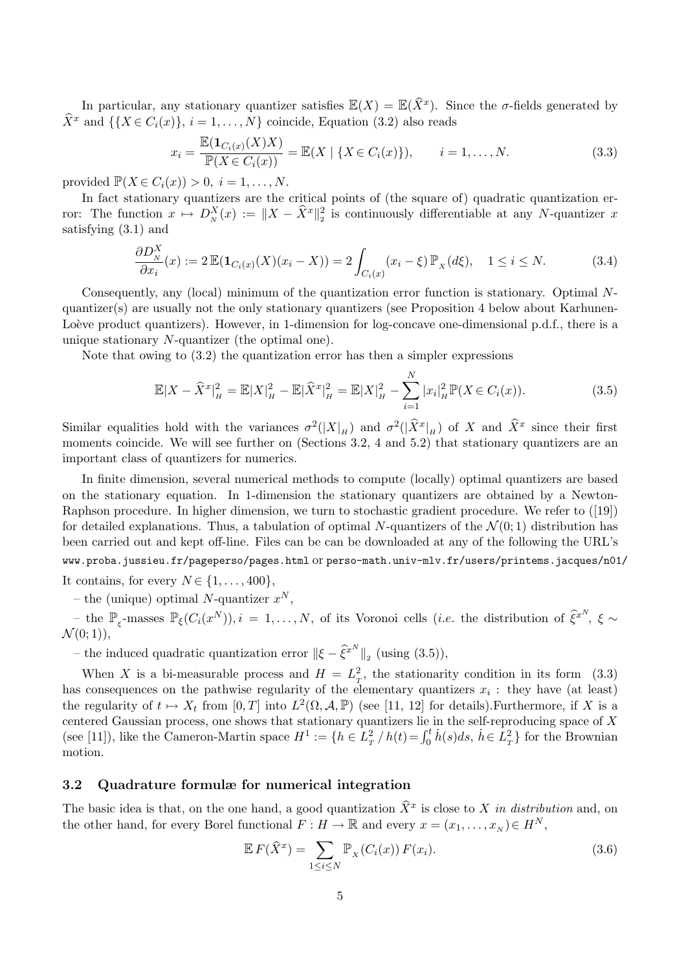In particular, any stationary quantizer satisfies  $\mathbb{E}(X) = \mathbb{E}(\widehat{X}^x)$ . Since the  $\sigma$ -fields generated by  $\widehat{X}^x$  and  $\{X \in C_i(x)\}\$ ,  $i = 1, ..., N\}$  coincide, Equation (3.2) also reads

$$
x_i = \frac{\mathbb{E}(\mathbf{1}_{C_i(x)}(X)X)}{\mathbb{P}(X \in C_i(x))} = \mathbb{E}(X \mid \{X \in C_i(x)\}), \qquad i = 1, ..., N.
$$
 (3.3)

provided  $\mathbb{P}(X \in C_i(x)) > 0, i = 1, \ldots, N$ .

In fact stationary quantizers are the critical points of (the square of) quadratic quantization error: The function  $x \mapsto D_N^X(x) := ||X - \hat{X}^x||_2^2$  is continuously differentiable at any N-quantizer x satisfying (3.1) and

$$
\frac{\partial D_N^X}{\partial x_i}(x) := 2 \mathbb{E}(\mathbf{1}_{C_i(x)}(X)(x_i - X)) = 2 \int_{C_i(x)} (x_i - \xi) \mathbb{P}_X(d\xi), \quad 1 \le i \le N. \tag{3.4}
$$

Consequently, any (local) minimum of the quantization error function is stationary. Optimal Nquantizer(s) are usually not the only stationary quantizers (see Proposition 4 below about Karhunen-Loève product quantizers). However, in 1-dimension for log-concave one-dimensional p.d.f., there is a unique stationary N-quantizer (the optimal one).

Note that owing to (3.2) the quantization error has then a simpler expressions

$$
\mathbb{E}|X - \widehat{X}^x|_H^2 = \mathbb{E}|X|_H^2 - \mathbb{E}|\widehat{X}^x|_H^2 = \mathbb{E}|X|_H^2 - \sum_{i=1}^N |x_i|_H^2 \mathbb{P}(X \in C_i(x)).
$$
\n(3.5)

Similar equalities hold with the variances  $\sigma^2(|X|_H)$  and  $\sigma^2(|\hat{X}^x|_H)$  of X and  $\hat{X}^x$  since their first moments coincide. We will see further on (Sections 3.2, 4 and 5.2) that stationary quantizers are an important class of quantizers for numerics.

In finite dimension, several numerical methods to compute (locally) optimal quantizers are based on the stationary equation. In 1-dimension the stationary quantizers are obtained by a Newton-Raphson procedure. In higher dimension, we turn to stochastic gradient procedure. We refer to ([19]) for detailed explanations. Thus, a tabulation of optimal N-quantizers of the  $\mathcal{N}(0; 1)$  distribution has been carried out and kept off-line. Files can be can be downloaded at any of the following the URL's www.proba.jussieu.fr/pageperso/pages.html or perso-math.univ-mlv.fr/users/printems.jacques/n01/ It contains, for every  $N \in \{1, \ldots, 400\},\$ 

– the (unique) optimal N-quantizer  $x^N$ ,

 $-$  the  $\mathbb{P}_{\xi}$ -masses  $\mathbb{P}_{\xi}(C_i(x^N)), i = 1,\ldots,N$ , of its Voronoi cells (*i.e.* the distribution of  $\widehat{\xi}^{x^N}, \xi \sim$  $\mathcal{N}(0;1)$ ,

– the induced quadratic quantization error  $\|\xi - \hat{\xi}^{x^N}\|_2$  (using (3.5)),

When X is a bi-measurable process and  $H = L_T^2$ , the stationarity condition in its form (3.3) has consequences on the pathwise regularity of the elementary quantizers  $x_i$ : they have (at least) the regularity of  $t \mapsto X_t$  from  $[0, T]$  into  $L^2(\Omega, \mathcal{A}, \mathbb{P})$  (see [11, 12] for details). Furthermore, if X is a centered Gaussian process, one shows that stationary quantizers lie in the self-reproducing space of X centered Gaussian process, one shows that stationary quantizers he in the sen-reproducing space of  $\Lambda$  (see [11]), like the Cameron-Martin space  $H^1 := \{h \in L_T^2 / h(t) = \int_0^t \dot{h}(s)ds, \, \dot{h} \in L_T^2\}$  for the Brownian motion.

#### 3.2 Quadrature formulæ for numerical integration

The basic idea is that, on the one hand, a good quantization  $\hat{X}^x$  is close to X in distribution and, on the other hand, for every Borel functional  $F: H \to \mathbb{R}$  and every  $x = (x_1, \ldots, x_N) \in H^N$ ,

$$
\mathbb{E}\,F(\widehat{X}^x) = \sum_{1 \leq i \leq N} \mathbb{P}_X(C_i(x))\,F(x_i). \tag{3.6}
$$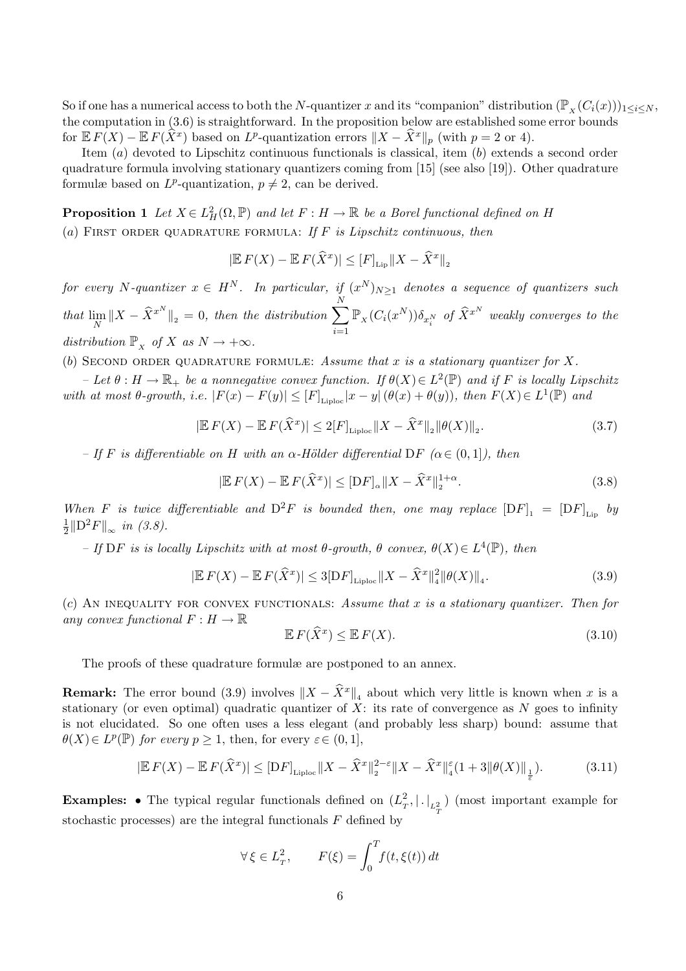So if one has a numerical access to both the N-quantizer x and its "companion" distribution  $(\mathbb{P}_{X}(C_i(x)))_{1\leq i\leq N}$ , the computation in (3.6) is straightforward. In the proposition below are established some error bounds for  $\mathbb{E} F(X) - \mathbb{E} F(\hat{X}^x)$  based on  $L^p$ -quantization errors  $||X - \hat{X}^x||_p$  (with  $p = 2$  or 4).

Item  $(a)$  devoted to Lipschitz continuous functionals is classical, item  $(b)$  extends a second order quadrature formula involving stationary quantizers coming from [15] (see also [19]). Other quadrature formulæ based on  $L^p$ -quantization,  $p \neq 2$ , can be derived.

**Proposition 1** Let  $X \in L^2_H(\Omega, \mathbb{P})$  and let  $F : H \to \mathbb{R}$  be a Borel functional defined on H (a) FIRST ORDER QUADRATURE FORMULA: If F is Lipschitz continuous, then

$$
|\mathbb{E} F(X) - \mathbb{E} F(\widehat{X}^x)| \leq [F]_{\rm Lip} ||X - \widehat{X}^x||_2
$$

for every N-quantizer  $x \in H^N$ . In particular, if  $(x^N)_{N \geq 1}$  denotes a sequence of quantizers such that  $\lim_{N} \|X - \widehat{X}^{x^N}\|_2 = 0$ , then the distribution  $\sum_{n=1}^{N}$  $i=1$  $\mathbb{P}_{{}_X}(C_i(x^N))\delta_{x_i^N}$  of  $\widehat{X}^{x^N}$  weakly converges to the distribution  $\mathbb{P}_{\mathbf{x}}$  of X as  $N \to +\infty$ .

(b) SECOND ORDER QUADRATURE FORMULÆ: Assume that x is a stationary quantizer for X.

 $-I$  = Let  $θ$  :  $H \to \mathbb{R}_+$  be a nonnegative convex function. If  $θ(X) ∈ L^2(\mathbb{P})$  and if F is locally Lipschitz with at most  $\theta$ -growth, i.e.  $|F(x) - F(y)| \leq [F]_{\text{Liploc}} |x - y| (\theta(x) + \theta(y)),$  then  $F(X) \in L^1(\mathbb{P})$  and

$$
|\mathbb{E} F(X) - \mathbb{E} F(\hat{X}^x)| \le 2[F]_{\text{Liploc}} \|X - \hat{X}^x\|_2 \|\theta(X)\|_2.
$$
 (3.7)

– If F is differentiable on H with an  $\alpha$ -Hölder differential DF ( $\alpha \in (0,1]$ ), then

$$
|\mathbb{E}\,F(X) - \mathbb{E}\,F(\widehat{X}^x)| \leq [DF]_{\alpha} \|X - \widehat{X}^x\|_2^{1+\alpha}.\tag{3.8}
$$

When F is twice differentiable and  $D^2F$  is bounded then, one may replace  $[DF]_1 = [DF]_{\text{Lip}}$  by 1  $\frac{1}{2} \|\mathcal{D}^2 F\|_{\infty}$  in (3.8).

– If DF is is locally Lipschitz with at most  $\theta$ -growth,  $\theta$  convex,  $\theta(X) \in L^4(\mathbb{P})$ , then

$$
|\mathbb{E} F(X) - \mathbb{E} F(\hat{X}^x)| \le 3[DF]_{\text{Liploc}} ||X - \hat{X}^x||_4^2 ||\theta(X)||_4.
$$
 (3.9)

(c) AN INEQUALITY FOR CONVEX FUNCTIONALS: Assume that x is a stationary quantizer. Then for any convex functional  $F: H \to \mathbb{R}$ 

$$
\mathbb{E}\,F(\widehat{X}^x) \le \mathbb{E}\,F(X). \tag{3.10}
$$

The proofs of these quadrature formulæ are postponed to an annex.

**Remark:** The error bound (3.9) involves  $||X - \hat{X}^x||_4$  about which very little is known when x is a stationary (or even optimal) quadratic quantizer of  $X$ : its rate of convergence as  $N$  goes to infinity is not elucidated. So one often uses a less elegant (and probably less sharp) bound: assume that  $\theta(X) \in L^p(\mathbb{P})$  for every  $p \geq 1$ , then, for every  $\varepsilon \in (0,1]$ ,

$$
|\mathbb{E}\,F(X) - \mathbb{E}\,F(\widehat{X}^x)| \le |DF|_{\text{Liploc}}\|X - \widehat{X}^x\|_2^{2-\varepsilon} \|X - \widehat{X}^x\|_4^{\varepsilon} (1+3\|\theta(X)\|_{\frac{1}{\varepsilon}}). \tag{3.11}
$$

**Examples:** • The typical regular functionals defined on  $(L_T^2, |.|_{L_T^2})$  (most important example for stochastic processes) are the integral functionals  $F$  defined by

$$
\forall \xi \in L_T^2, \qquad F(\xi) = \int_0^T f(t, \xi(t)) dt
$$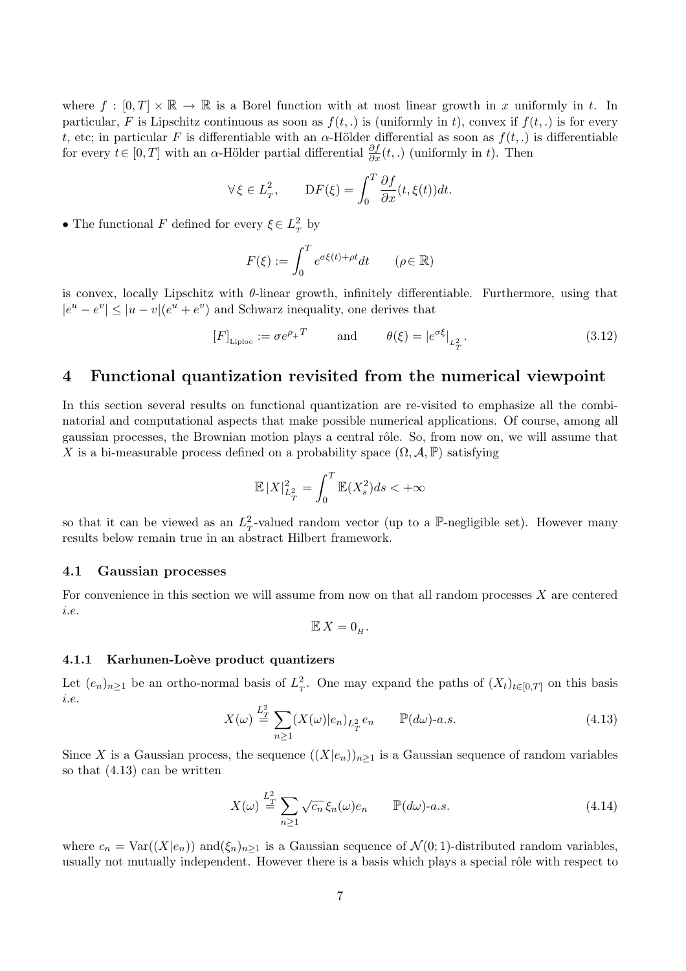where  $f : [0, T] \times \mathbb{R} \to \mathbb{R}$  is a Borel function with at most linear growth in x uniformly in t. In particular, F is Lipschitz continuous as soon as  $f(t,.)$  is (uniformly in t), convex if  $f(t,.)$  is for every t, etc; in particular F is differentiable with an  $\alpha$ -Hölder differential as soon as  $f(t,.)$  is differentiable for every  $t \in [0, T]$  with an  $\alpha$ -Hölder partial differential  $\frac{\partial f}{\partial x}(t,.)$  (uniformly in t). Then

$$
\forall \xi \in L_T^2, \qquad DF(\xi) = \int_0^T \frac{\partial f}{\partial x}(t, \xi(t)) dt.
$$

• The functional  $F$  defined for every  $\xi \in L^2$  by

$$
F(\xi) := \int_0^T e^{\sigma \xi(t) + \rho t} dt \qquad (\rho \in \mathbb{R})
$$

is convex, locally Lipschitz with  $\theta$ -linear growth, infinitely differentiable. Furthermore, using that  $|e^u - e^v| \le |u - v| (e^u + e^v)$  and Schwarz inequality, one derives that

$$
[F]_{\text{Liploc}} := \sigma e^{\rho_+ T} \qquad \text{and} \qquad \theta(\xi) = |e^{\sigma \xi}|_{L^2_T}.
$$
 (3.12)

## 4 Functional quantization revisited from the numerical viewpoint

In this section several results on functional quantization are re-visited to emphasize all the combinatorial and computational aspects that make possible numerical applications. Of course, among all gaussian processes, the Brownian motion plays a central rôle. So, from now on, we will assume that X is a bi-measurable process defined on a probability space  $(\Omega, \mathcal{A}, \mathbb{P})$  satisfying

$$
\mathbb{E}\left|X\right|_{L^2_T}^2 = \int_0^T \mathbb{E}(X_s^2)ds < +\infty
$$

so that it can be viewed as an  $L_T^2$ -valued random vector (up to a P-negligible set). However many results below remain true in an abstract Hilbert framework.

#### 4.1 Gaussian processes

For convenience in this section we will assume from now on that all random processes  $X$  are centered i.e.

$$
\mathbb{E}\,X=0_{\scriptscriptstyle H}.
$$

#### 4.1.1 Karhunen-Loève product quantizers

Let  $(e_n)_{n\geq 1}$  be an ortho-normal basis of  $L^2_T$ . One may expand the paths of  $(X_t)_{t\in[0,T]}$  on this basis i.e.

$$
X(\omega) \stackrel{L_T^2}{=} \sum_{n \ge 1} (X(\omega)|e_n)_{L_T^2} e_n \qquad \mathbb{P}(d\omega)\text{-}a.s.
$$
 (4.13)

Since X is a Gaussian process, the sequence  $((X|e_n))_{n>1}$  is a Gaussian sequence of random variables so that (4.13) can be written

$$
X(\omega) \stackrel{L_T^2}{=} \sum_{n \ge 1} \sqrt{c_n} \, \xi_n(\omega) e_n \qquad \mathbb{P}(d\omega) \text{-} a.s. \tag{4.14}
$$

where  $c_n = \text{Var}((X|e_n))$  and  $(\xi_n)_{n\geq 1}$  is a Gaussian sequence of  $\mathcal{N}(0, 1)$ -distributed random variables, usually not mutually independent. However there is a basis which plays a special rôle with respect to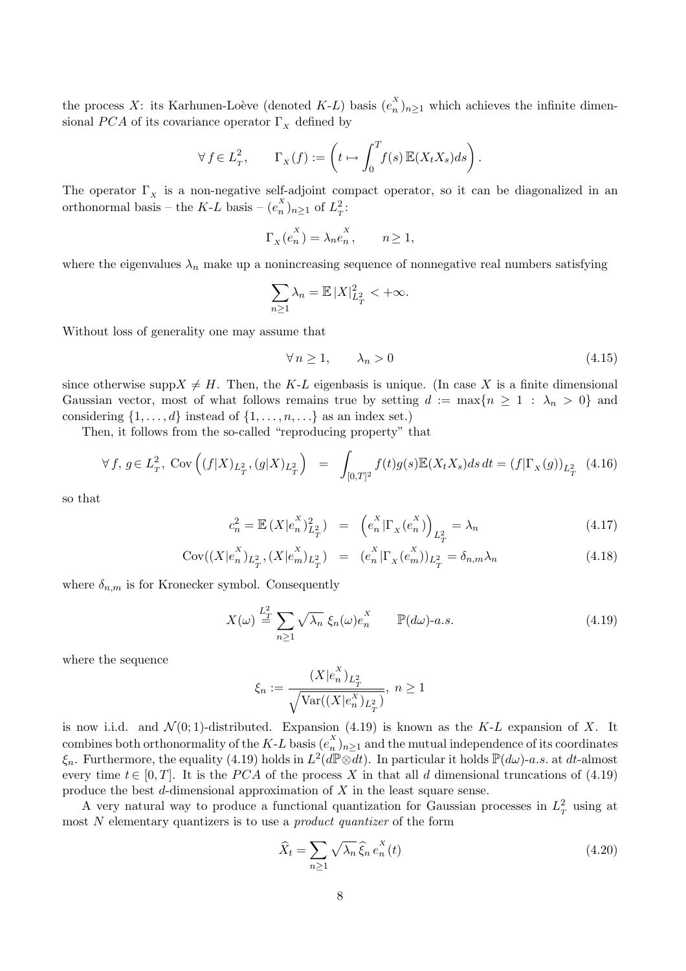the process X: its Karhunen-Loève (denoted K-L) basis  $(e_n^X)_{n\geq 1}$  which achieves the infinite dimensional  $PCA$  of its covariance operator  $\Gamma_x$  defined by

$$
\forall f \in L_T^2, \qquad \Gamma_X(f) := \left( t \mapsto \int_0^T f(s) \, \mathbb{E}(X_t X_s) ds \right).
$$

The operator  $\Gamma_X$  is a non-negative self-adjoint compact operator, so it can be diagonalized in an orthonormal basis – the K-L basis –  $(e_n^X)_{n\geq 1}$  of  $L^2_T$ :

$$
\Gamma_X(e_n^X) = \lambda_n e_n^X, \qquad n \ge 1,
$$

where the eigenvalues  $\lambda_n$  make up a nonincreasing sequence of nonnegative real numbers satisfying

$$
\sum_{n\geq 1} \lambda_n = \mathbb{E} |X|_{L^2_T}^2 < +\infty.
$$

Without loss of generality one may assume that

$$
\forall n \ge 1, \qquad \lambda_n > 0 \tag{4.15}
$$

since otherwise supp $X \neq H$ . Then, the K-L eigenbasis is unique. (In case X is a finite dimensional Gaussian vector, most of what follows remains true by setting  $d := \max\{n \geq 1 : \lambda_n > 0\}$  and considering  $\{1, \ldots, d\}$  instead of  $\{1, \ldots, n, \ldots\}$  as an index set.)

Then, it follows from the so-called "reproducing property" that

$$
\forall f, g \in L_T^2, \text{Cov}\left( (f|X)_{L_T^2}, (g|X)_{L_T^2} \right) = \int_{[0,T]^2} f(t)g(s) \mathbb{E}(X_t X_s) ds dt = (f|\Gamma_X(g))_{L_T^2} \tag{4.16}
$$

so that

$$
c_n^2 = \mathbb{E}\left(X|e_n^X\right)_{L^2_T}^2 = \left(e_n^X|\Gamma_X(e_n^X)\right)_{L^2_T} = \lambda_n \tag{4.17}
$$

$$
Cov((X|e_n^X)_{L^2_T}, (X|e_m^X)_{L^2_T}) = (e_n^X|\Gamma_X(e_m^X))_{L^2_T} = \delta_{n,m}\lambda_n
$$
\n(4.18)

where  $\delta_{n,m}$  is for Kronecker symbol. Consequently

$$
X(\omega) \stackrel{L_T^2}{=} \sum_{n \ge 1} \sqrt{\lambda_n} \xi_n(\omega) e_n^X \qquad \mathbb{P}(d\omega)\text{-}a.s. \tag{4.19}
$$

where the sequence

$$
\xi_n:=\frac{(X|e_n^X)_{L^2_T}}{\sqrt{\text{Var}((X|e_n^X)_{L^2_T})}},\ n\ge 1
$$

is now i.i.d. and  $\mathcal{N}(0;1)$ -distributed. Expansion (4.19) is known as the K-L expansion of X. It combines both orthonormality of the K-L basis  $(e_n^X)_{n\geq 1}$  and the mutual independence of its coordinates  $\xi_n$ . Furthermore, the equality (4.19) holds in  $L^2(d\mathbb{P}\otimes dt)$ . In particular it holds  $\mathbb{P}(d\omega)$ -a.s. at dt-almost every time  $t \in [0, T]$ . It is the PCA of the process X in that all d dimensional truncations of (4.19) produce the best  $d$ -dimensional approximation of  $X$  in the least square sense.

A very natural way to produce a functional quantization for Gaussian processes in  $L_T^2$  using at most  $N$  elementary quantizers is to use a *product quantizer* of the form

$$
\widehat{X}_t = \sum_{n \ge 1} \sqrt{\lambda_n} \,\widehat{\xi}_n \, e_n^X(t) \tag{4.20}
$$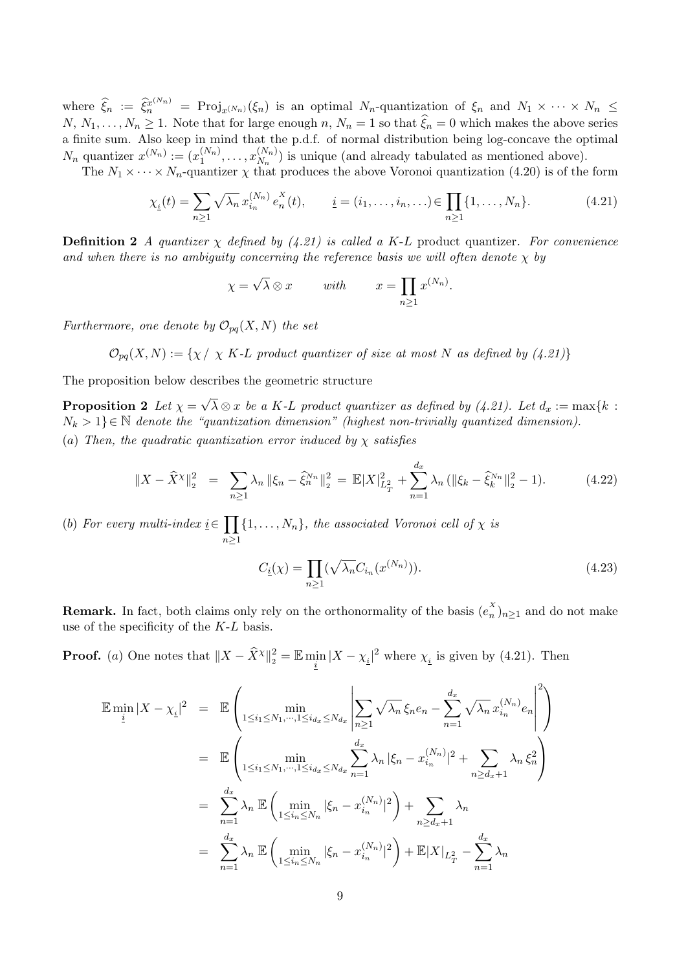where  $\hat{\xi}_n := \hat{\xi}_n^{x(N_n)} = \text{Proj}_{x^{(N_n)}}(\xi_n)$  is an optimal  $N_n$ -quantization of  $\xi_n$  and  $N_1 \times \cdots \times N_n \leq$  $N, N_1, \ldots, N_n \geq 1$ . Note that for large enough n,  $N_n = 1$  so that  $\widehat{\xi}_n = 0$  which makes the above series a finite sum. Also keep in mind that the p.d.f. of normal distribution being log-concave the optimal  $N_n$  quantizer  $x^{(N_n)} := (x_1^{(N_n)})$  $x_1^{(N_n)}, \ldots, x_{N_n}^{(N_n)}$  $\binom{N_n}{N_n}$  is unique (and already tabulated as mentioned above).

The  $N_1 \times \cdots \times N_n$ -quantizer  $\chi$  that produces the above Voronoi quantization (4.20) is of the form

$$
\chi_{\underline{i}}(t) = \sum_{n \ge 1} \sqrt{\lambda_n} x_{i_n}^{(N_n)} e_n^X(t), \qquad \underline{i} = (i_1, \dots, i_n, \dots) \in \prod_{n \ge 1} \{1, \dots, N_n\}.
$$
 (4.21)

**Definition 2** A quantizer  $\chi$  defined by (4.21) is called a K-L product quantizer. For convenience and when there is no ambiguity concerning the reference basis we will often denote  $\chi$  by

$$
\chi = \sqrt{\lambda} \otimes x
$$
 with  $x = \prod_{n \ge 1} x^{(N_n)}$ .

Furthermore, one denote by  $\mathcal{O}_{pq}(X, N)$  the set

 $\mathcal{O}_{pq}(X, N) := \{ \chi / \chi K-L \text{ product quantizer of size at most } N \text{ as defined by (4.21)} \}$ 

The proposition below describes the geometric structure

Proposition 2 Let  $\chi =$ √  $\lambda \otimes x$  be a K-L product quantizer as defined by (4.21). Let  $d_x := \max\{k : x\}$  $N_k > 1$ } $\in \mathbb{N}$  denote the "quantization dimension" (highest non-trivially quantized dimension). (a) Then, the quadratic quantization error induced by  $\chi$  satisfies

$$
\|X - \widehat{X}^{\chi}\|_{2}^{2} = \sum_{n \geq 1} \lambda_{n} \|\xi_{n} - \widehat{\xi}_{n}^{N_{n}}\|_{2}^{2} = \mathbb{E}|X|_{L_{T}^{2}}^{2} + \sum_{n=1}^{d_{x}} \lambda_{n} (\|\xi_{k} - \widehat{\xi}_{k}^{N_{n}}\|_{2}^{2} - 1). \tag{4.22}
$$

(b) For every multi-index  $i \in$  $\overline{y}$  $n\geq 1$  $\{1, \ldots, N_n\}$ , the associated Voronoi cell of  $\chi$  is

$$
C_{\underline{i}}(\chi) = \prod_{n \ge 1} (\sqrt{\lambda_n} C_{i_n}(x^{(N_n)})).
$$
\n(4.23)

**Remark.** In fact, both claims only rely on the orthonormality of the basis  $(e_n^X)_{n\geq 1}$  and do not make use of the specificity of the  $K-L$  basis.

**Proof.** (a) One notes that  $||X - \hat{X}^{\chi}||_2^2 = \mathbb{E} \min_i |X - \chi_i|^2$  where  $\chi_i$  is given by (4.21). Then

$$
\mathbb{E} \min_{\underline{i}} |X - \chi_{\underline{i}}|^2 = \mathbb{E} \left( \min_{1 \le i_1 \le N_1, \dots, 1 \le i_{d_x} \le N_{d_x}} \left| \sum_{n \ge 1} \sqrt{\lambda_n} \xi_n e_n - \sum_{n=1}^{d_x} \sqrt{\lambda_n} x_{i_n}^{(N_n)} e_n \right|^2 \right)
$$
  
\n
$$
= \mathbb{E} \left( \min_{1 \le i_1 \le N_1, \dots, 1 \le i_{d_x} \le N_{d_x}} \sum_{n=1}^{d_x} \lambda_n |\xi_n - x_{i_n}^{(N_n)}|^2 + \sum_{n \ge d_x + 1} \lambda_n \xi_n^2 \right)
$$
  
\n
$$
= \sum_{n=1}^{d_x} \lambda_n \mathbb{E} \left( \min_{1 \le i_n \le N_n} |\xi_n - x_{i_n}^{(N_n)}|^2 \right) + \sum_{n \ge d_x + 1} \lambda_n
$$
  
\n
$$
= \sum_{n=1}^{d_x} \lambda_n \mathbb{E} \left( \min_{1 \le i_n \le N_n} |\xi_n - x_{i_n}^{(N_n)}|^2 \right) + \mathbb{E} |X|_{L_T^2} - \sum_{n=1}^{d_x} \lambda_n
$$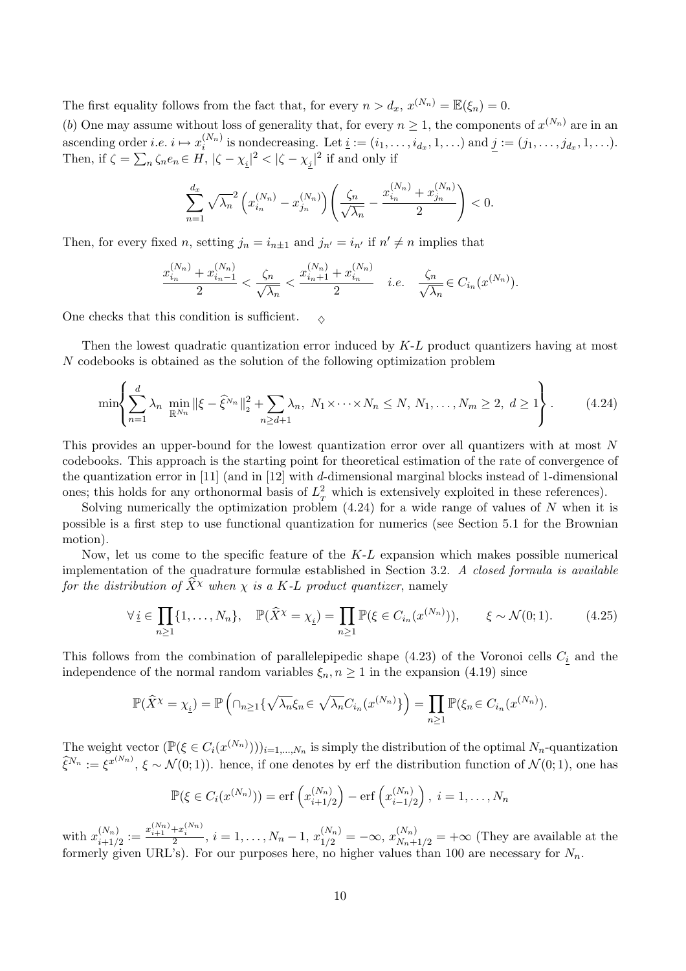The first equality follows from the fact that, for every  $n > d_x$ ,  $x^{(N_n)} = \mathbb{E}(\xi_n) = 0$ .

(b) One may assume without loss of generality that, for every  $n \geq 1$ , the components of  $x^{(N_n)}$  are in an ascending order *i.e.*  $i \mapsto x_i^{(N_n)}$  $i^{(N_n)}$  is nondecreasing. Let  $\underline{i} := (i_1, \ldots, i_{d_x}, 1, \ldots)$  and  $\underline{j} := (j_1, \ldots, j_{d_x}, 1, \ldots)$ . Then, if  $\zeta =$  $\tilde{P}$  $\sum_{n} \zeta_n e_n \in H$ ,  $|\zeta - \chi_i|^2 < |\zeta - \chi_j|^2$  if and only if

$$
\sum_{n=1}^{d_x} \sqrt{\lambda_n}^2 \left( x_{i_n}^{(N_n)} - x_{j_n}^{(N_n)} \right) \left( \frac{\zeta_n}{\sqrt{\lambda_n}} - \frac{x_{i_n}^{(N_n)} + x_{j_n}^{(N_n)}}{2} \right) < 0.
$$

Then, for every fixed *n*, setting  $j_n = i_{n+1}$  and  $j_{n'} = i_{n'}$  if  $n' \neq n$  implies that

$$
\frac{x_{i_n}^{(N_n)} + x_{i_n-1}^{(N_n)}}{2} < \frac{\zeta_n}{\sqrt{\lambda_n}} < \frac{x_{i_n+1}^{(N_n)} + x_{i_n}^{(N_n)}}{2} \quad i.e. \quad \frac{\zeta_n}{\sqrt{\lambda_n}} \in C_{i_n}(x^{(N_n)}).
$$

One checks that this condition is sufficient.  $\Diamond$ 

 $\overline{a}$ 

Then the lowest quadratic quantization error induced by K-L product quantizers having at most N codebooks is obtained as the solution of the following optimization problem

$$
\min\left\{\sum_{n=1}^{d} \lambda_n \min_{\mathbb{R}^{N_n}} \|\xi - \hat{\xi}^{N_n}\|_2^2 + \sum_{n \ge d+1} \lambda_n, \ N_1 \times \dots \times N_n \le N, \ N_1, \dots, N_m \ge 2, \ d \ge 1\right\}.
$$
 (4.24)

 $\mathbf{r}$ 

This provides an upper-bound for the lowest quantization error over all quantizers with at most N codebooks. This approach is the starting point for theoretical estimation of the rate of convergence of the quantization error in [11] (and in [12] with d-dimensional marginal blocks instead of 1-dimensional ones; this holds for any orthonormal basis of  $L_T^2$  which is extensively exploited in these references).

Solving numerically the optimization problem  $(4.24)$  for a wide range of values of N when it is possible is a first step to use functional quantization for numerics (see Section 5.1 for the Brownian motion).

Now, let us come to the specific feature of the K-L expansion which makes possible numerical implementation of the quadrature formulæ established in Section 3.2. A closed formula is available for the distribution of  $\widehat{X}^{\chi}$  when  $\chi$  is a K-L product quantizer, namely

$$
\forall \underline{i} \in \prod_{n \ge 1} \{1, \dots, N_n\}, \quad \mathbb{P}(\widehat{X}^{\chi} = \chi_{\underline{i}}) = \prod_{n \ge 1} \mathbb{P}(\xi \in C_{i_n}(x^{(N_n)})), \qquad \xi \sim \mathcal{N}(0; 1). \tag{4.25}
$$

This follows from the combination of parallelepipedic shape  $(4.23)$  of the Voronoi cells  $C<sub>i</sub>$  and the independence of the normal random variables  $\xi_n, n \geq 1$  in the expansion (4.19) since

$$
\mathbb{P}(\widehat{X}^{\chi} = \chi_{\underline{i}}) = \mathbb{P}\left(\cap_{n\geq 1}\{\sqrt{\lambda_n}\xi_n \in \sqrt{\lambda_n}C_{i_n}(x^{(N_n)}\}\right) = \prod_{n\geq 1}\mathbb{P}(\xi_n \in C_{i_n}(x^{(N_n)}).
$$

The weight vector  $(\mathbb{P}(\xi \in C_i(x^{(N_n)})))_{i=1,\dots,N_n}$  is simply the distribution of the optimal  $N_n$ -quantization  $\hat{\xi}^{N_n} := \xi^{x^{(N_n)}}, \xi \sim \mathcal{N}(0, 1)$ ). hence, if one denotes by erf the distribution function of  $\mathcal{N}(0, 1)$ , one has

$$
\mathbb{P}(\xi \in C_i(x^{(N_n)})) = \text{erf}\left(x_{i+1/2}^{(N_n)}\right) - \text{erf}\left(x_{i-1/2}^{(N_n)}\right), \ i = 1, \dots, N_n
$$

with  $x_{i+1}^{(N_n)}$  $\chi_{i+1/2}^{(N_n)} := \frac{x_{i+1}^{(N_n)} + x_i^{(N_n)}}{2}, i = 1, \ldots, N_n - 1, x_{1/2}^{(N_n)} = -\infty, x_{N_n+1/2}^{(N_n)} = +\infty$  (They are available at the formerly given URL's). For our purposes here, no higher values than 100 are necessary for  $N_n$ .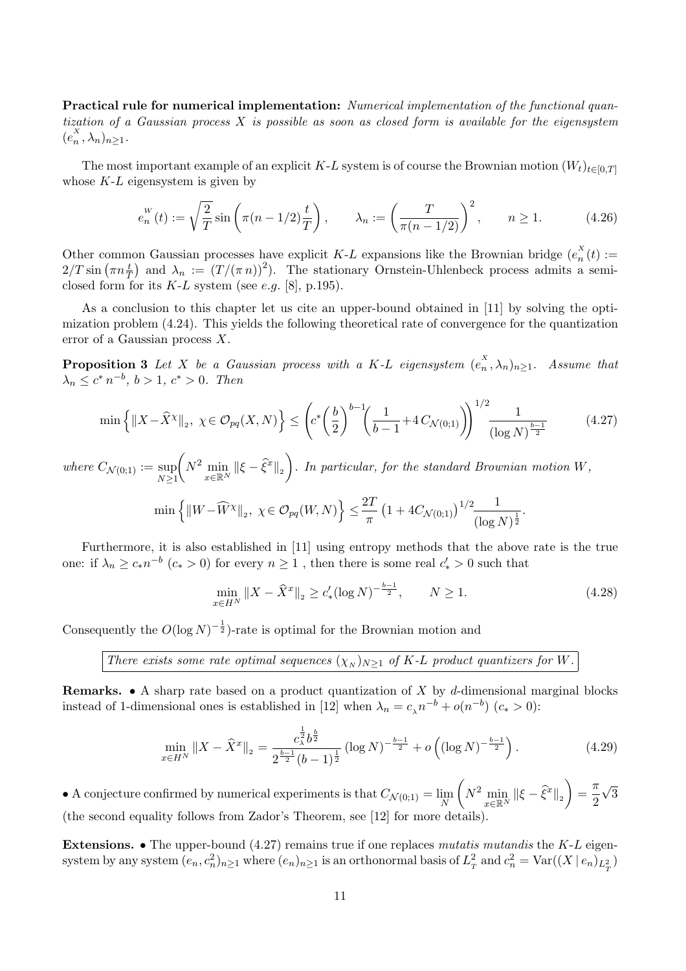Practical rule for numerical implementation: Numerical implementation of the functional quantization of a Gaussian process  $X$  is possible as soon as closed form is available for the eigensystem  $(e_n^X, \lambda_n)_{n \geq 1}.$ 

The most important example of an explicit K-L system is of course the Brownian motion  $(W_t)_{t\in[0,T]}$ whose  $K-L$  eigensystem is given by

$$
e_n^W(t) := \sqrt{\frac{2}{T}} \sin\left(\pi (n - 1/2) \frac{t}{T}\right), \qquad \lambda_n := \left(\frac{T}{\pi (n - 1/2)}\right)^2, \qquad n \ge 1.
$$
 (4.26)

Other common Gaussian processes have explicit K-L expansions like the Brownian bridge  $(e_n^X(t) := 2/T \sin (\pi n \frac{t}{T})$  and  $\lambda_n := (T/(\pi n))^2$ . The stationary Ornstein-Uhlenbeck process admits a semion Gaussian processes have explicit  $\mathbf{A}-\mathbf{L}$  expansions like the browman oringe  $(e_n(t)) :=$ <br>and  $\lambda_n := (T/(\pi n))^2$ . The stationary Ornstein-Uhlenbeck process admits a semiclosed form for its  $K-L$  system (see e.g. [8], p.195).

As a conclusion to this chapter let us cite an upper-bound obtained in [11] by solving the optimization problem (4.24). This yields the following theoretical rate of convergence for the quantization error of a Gaussian process X.

**Proposition 3** Let X be a Gaussian process with a K-L eigensystem  $(e_n^X, \lambda_n)_{n\geq 1}$ . Assume that  $\lambda_n \leq c^* \, n^{-b}, \, b > 1, \, c^* > 0.$  Then

$$
\min\left\{\|X-\widehat{X}^{\chi}\|_{2}, \ \chi \in \mathcal{O}_{pq}(X,N)\right\} \leq \left(c^{*}\left(\frac{b}{2}\right)^{b-1} \left(\frac{1}{b-1} + 4C_{\mathcal{N}(0;1)}\right)\right)^{1/2} \frac{1}{(\log N)^{\frac{b-1}{2}}} \tag{4.27}
$$

where  $C_{\mathcal{N}(0,1)} := \sup_{N \geq 1}$  $N^2 \min_{x \in \mathbb{R}^N} \|\xi - \widehat{\xi}^x\|_2$ . In particular, for the standard Brownian motion W,

$$
\min\left\{\|W - \widehat{W}^{\chi}\|_{2}, \ \chi \in \mathcal{O}_{pq}(W, N)\right\} \leq \frac{2T}{\pi} \left(1 + 4C_{\mathcal{N}(0, 1)}\right)^{1/2} \frac{1}{(\log N)^{\frac{1}{2}}}.
$$

Furthermore, it is also established in [11] using entropy methods that the above rate is the true one: if  $\lambda_n \ge c_* n^{-b}$   $(c_*>0)$  for every  $n \ge 1$ , then there is some real  $c'_*>0$  such that

$$
\min_{x \in H^N} \|X - \hat{X}^x\|_2 \ge c'_*(\log N)^{-\frac{b-1}{2}}, \qquad N \ge 1.
$$
\n(4.28)

Consequently the  $O(\log N)^{-\frac{1}{2}}$ -rate is optimal for the Brownian motion and

There exists some rate optimal sequences  $(\chi_N)_{N \geq 1}$  of K-L product quantizers for W.

**Remarks.** • A sharp rate based on a product quantization of X by d-dimensional marginal blocks instead of 1-dimensional ones is established in [12] when  $\lambda_n = c_{\lambda} n^{-b} + o(n^{-b})$   $(c_* > 0)$ :

$$
\min_{x \in H^N} \|X - \widehat{X}^x\|_2 = \frac{c_2^{\frac{1}{2}} b^{\frac{b}{2}}}{2^{\frac{b-1}{2}} (b-1)^{\frac{1}{2}}} \left(\log N\right)^{-\frac{b-1}{2}} + o\left(\left(\log N\right)^{-\frac{b-1}{2}}\right). \tag{4.29}
$$

• A conjecture confirmed by numerical experiments is that  $C_{\mathcal{N}(0;1)} = \lim_N$  $\overline{a}$  $N^2 \min_{x \in \mathbb{R}^N} \|\xi - \hat{\xi}^x\|_2$  $\mathbf{r}$  $=\frac{\pi}{2}$ 2 √ 3 (the second equality follows from Zador's Theorem, see [12] for more details).

**Extensions.** • The upper-bound  $(4.27)$  remains true if one replaces mutatis mutandis the K-L eigensystem by any system  $(e_n, c_n^2)_{n\geq 1}$  where  $(e_n)_{n\geq 1}$  is an orthonormal basis of  $L^2_T$  and  $c_n^2 = \text{Var}((X \mid e_n)_{L^2_T})$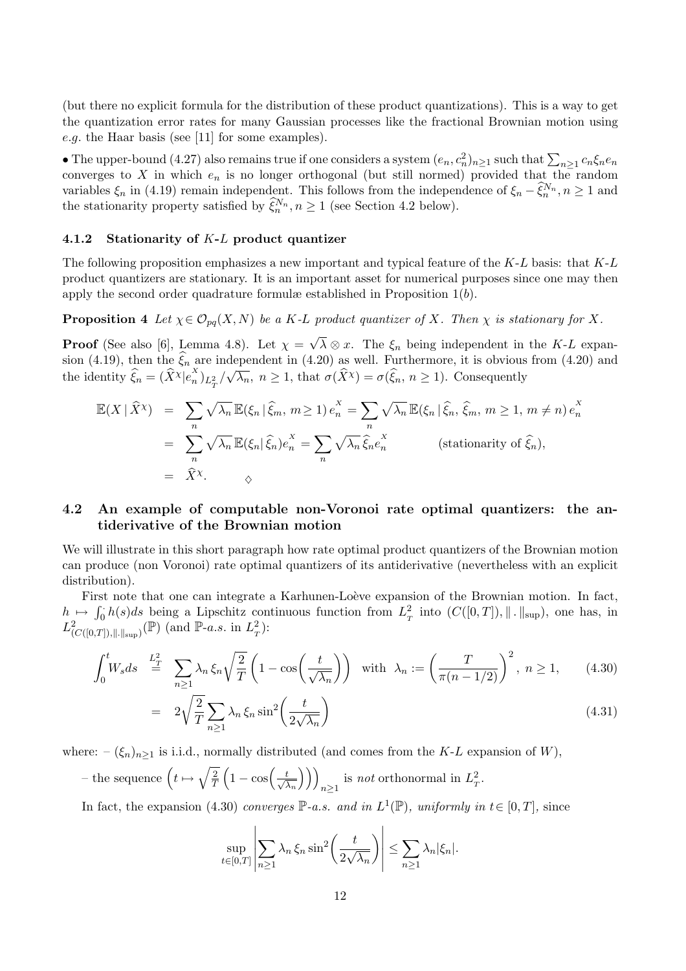(but there no explicit formula for the distribution of these product quantizations). This is a way to get the quantization error rates for many Gaussian processes like the fractional Brownian motion using e.g. the Haar basis (see [11] for some examples).

• The upper-bound (4.27) also remains true if one considers a system  $(e_n, c_n^2)_{n\geq 1}$  such that  $\sum_{n\geq 1} c_n \xi_n e_n$ converges to X in which  $e_n$  is no longer orthogonal (but still normed) provided that the random variables  $\xi_n$  in (4.19) remain independent. This follows from the independence of  $\xi_n - \widehat{\xi}_n^{N_n}, n \ge 1$  and the stationarity property satisfied by  $\widehat{\xi}_n^{N_n}, n \ge 1$  (see Section 4.2 below).

### 4.1.2 Stationarity of K-L product quantizer

The following proposition emphasizes a new important and typical feature of the K-L basis: that K-L product quantizers are stationary. It is an important asset for numerical purposes since one may then apply the second order quadrature formulæ established in Proposition  $1(b)$ .

**Proposition 4** Let  $\chi \in \mathcal{O}_{pq}(X, N)$  be a K-L product quantizer of X. Then  $\chi$  is stationary for X.

**Proof** (See also [6], Lemma 4.8). Let  $\chi$  = √  $\lambda \otimes x$ . The  $\xi_n$  being independent in the K-L expansion (4.19), then the  $\hat{\xi}_n$  are independent in (4.20) as well. Furthermore, it is obvious from (4.20) and the identity  $\widehat{\xi}_n = (\widehat{X}^{\chi} | e_n^{\chi})_{L^2_T}$ / dependent in (4.20) as went Furthermore, it is obvious<br>  $\sqrt{\lambda_n}$ ,  $n \ge 1$ , that  $\sigma(\widehat{X}^{\chi}) = \sigma(\widehat{\xi}_n, n \ge 1)$ . Consequently

$$
\mathbb{E}(X \mid \widehat{X}^{\chi}) = \sum_{n} \sqrt{\lambda_n} \mathbb{E}(\xi_n \mid \widehat{\xi}_m, m \ge 1) e_n^X = \sum_{n} \sqrt{\lambda_n} \mathbb{E}(\xi_n \mid \widehat{\xi}_n, \widehat{\xi}_m, m \ge 1, m \ne n) e_n^X
$$
  
= 
$$
\sum_{n} \sqrt{\lambda_n} \mathbb{E}(\xi_n \mid \widehat{\xi}_n) e_n^X = \sum_{n} \sqrt{\lambda_n} \widehat{\xi}_n e_n^X
$$
 (stationarity of  $\widehat{\xi}_n$ ),  
=  $\widehat{X}^{\chi}$ .

## 4.2 An example of computable non-Voronoi rate optimal quantizers: the antiderivative of the Brownian motion

We will illustrate in this short paragraph how rate optimal product quantizers of the Brownian motion can produce (non Voronoi) rate optimal quantizers of its antiderivative (nevertheless with an explicit distribution).

First note that one can integrate a Karhunen-Loève expansion of the Brownian motion. In fact,  $h \mapsto \int_0^h$  $\int_0^L h(s)ds$  being a Lipschitz continuous function from  $L_T^2$  into  $(C([0,T])$ ,  $\|\cdot\|_{\sup})$ , one has, in  $L^2_{(C([0,T]),\|\cdot\|_{\text{sup}})}(\mathbb{P})$  (and  $\mathbb{P}\text{-}a.s.$  in  $L^2_T$ ):

$$
\int_0^t W_s ds \stackrel{L_T^2}{=} \sum_{n \ge 1} \lambda_n \xi_n \sqrt{\frac{2}{T}} \left( 1 - \cos\left(\frac{t}{\sqrt{\lambda_n}}\right) \right) \text{ with } \lambda_n := \left(\frac{T}{\pi(n-1/2)}\right)^2, \ n \ge 1, \tag{4.30}
$$

$$
= 2\sqrt{\frac{2}{T}} \sum_{n\geq 1} \lambda_n \xi_n \sin^2\left(\frac{t}{2\sqrt{\lambda_n}}\right) \tag{4.31}
$$

 $\overline{a}$ 

where:  $-(\xi_n)_{n\geq 1}$  is i.i.d., normally distributed (and comes from the K-L expansion of W),

- the sequence 
$$
\left(t \mapsto \sqrt{\frac{2}{T}} \left(1 - \cos\left(\frac{t}{\sqrt{\lambda_n}}\right)\right)\right)_{n \geq 1}
$$
 is *not* orthonormal in  $L_T^2$ .

In fact, the expansion (4.30) converges  $\mathbb{P}\text{-}a.s.$  and in  $L^1(\mathbb{P})$ , uniformly in  $t \in [0, T]$ , since

$$
\sup_{t\in[0,T]}\left|\sum_{n\geq 1}\lambda_n\,\xi_n\sin^2\!\left(\frac{t}{2\sqrt{\lambda_n}}\right)\right|\leq \sum_{n\geq 1}\lambda_n|\xi_n|.
$$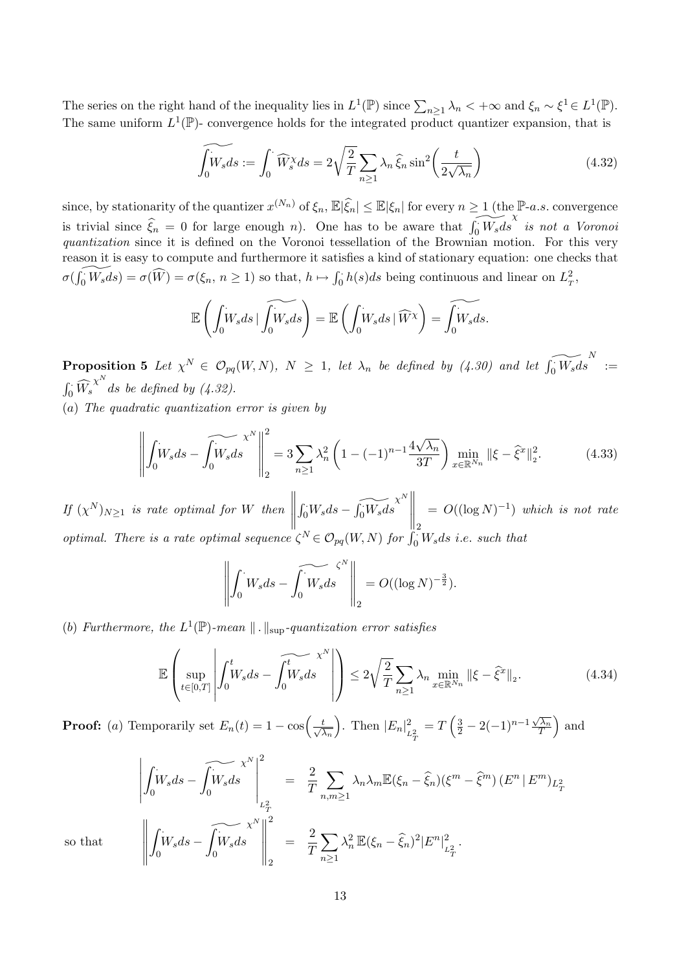The series on the right hand of the inequality lies in  $L^1(\mathbb{P})$  since  $\sum_{n\geq 1}\lambda_n<+\infty$  and  $\xi_n\sim \xi^1\in L^1(\mathbb{P})$ . The same uniform  $L^1(\mathbb{P})$ - convergence holds for the integrated product quantizer expansion, that is

$$
\widetilde{\int_0 W_s} ds := \int_0^\cdot \widehat{W}_s^\chi ds = 2\sqrt{\frac{2}{T}} \sum_{n \ge 1} \lambda_n \widehat{\xi}_n \sin^2\left(\frac{t}{2\sqrt{\lambda_n}}\right) \tag{4.32}
$$

since, by stationarity of the quantizer  $x^{(N_n)}$  of  $\xi_n, \mathbb{E}|\hat{\xi}_n| \leq \mathbb{E}|\xi_n|$  for every  $n \geq 1$  (the  $\mathbb{P}\text{-}a.s.$  convergence is trivial since  $\hat{\xi}_n = 0$  for large enough n). One has to be aware that  $\int_0^{\cdot} W_s ds$ χ is not a Voronoi quantization since it is defined on the Voronoi tessellation of the Brownian motion. For this very reason it is easy to compute and furthermore it satisfies a kind of stationary equation: one checks that  $\sigma(\int_0^s W_s ds) = \sigma(\widehat{W}) = \sigma(\xi_n, n \ge 1)$  so that,  $h \mapsto \int_0^s$  $\int_0^1 h(s)ds$  being continuous and linear on  $L_T^2$ ,

$$
\mathbb{E}\left(\int_0^{\cdot} W_s ds \mid \widetilde{\int_0^{\cdot} W_s ds}\right) = \mathbb{E}\left(\int_0^{\cdot} W_s ds \mid \widehat{W}^{\chi}\right) = \widetilde{\int_0^{\cdot} W_s ds}.
$$

**Proposition 5** Let  $\chi^N \in \mathcal{O}_{pq}(W,N)$ ,  $N \geq 1$ , let  $\lambda_n$  be defined by (4.30) and let  $\widetilde{\int_0^N W_s ds}$ N :=  $\int_0^1 \widehat{W_s}^{\chi^N}$  ds be defined by (4.32).

(a) The quadratic quantization error is given by

$$
\left\| \int_0^1 W_s ds - \widetilde{\int_0^W s} ds \right\|_2^2 = 3 \sum_{n \ge 1} \lambda_n^2 \left( 1 - (-1)^{n-1} \frac{4\sqrt{\lambda_n}}{3T} \right) \min_{x \in \mathbb{R}^{N_n}} \| \xi - \widehat{\xi}^x \|_2^2. \tag{4.33}
$$

If  $(X^N)_{N\geq 1}$  is rate optimal for W then ° ° ° ° °  $\mathbf{r}$ .  $\overline{\int_{0}^{1}}W_{s}ds-\widetilde{\int_{0}^{1}}\overline{W_{s}}ds$  $\chi^N$  $\bigg\|_2$  $= O((\log N)^{-1})$  which is not rate optimal. There is a rate optimal sequence  $\zeta^N \in \mathcal{O}_{pq}(W,N)$  for  $\int_0^{\|2} W_s ds$  i.e. such that

$$
\left\| \int_0^{\cdot} W_s ds - \widehat{\int_0^{\cdot} W_s ds} \right\|_2 = O((\log N)^{-\frac{3}{2}}).
$$

(b) Furthermore, the  $L^1(\mathbb{P})$ -mean  $\|\cdot\|_{\sup}$ -quantization error satisfies

$$
\mathbb{E}\left(\sup_{t\in[0,T]}\left|\int_0^t W_s ds - \widehat{\int_0^t W_s ds}\right|\right) \le 2\sqrt{\frac{2}{T}} \sum_{n\ge 1} \lambda_n \min_{x\in\mathbb{R}^{N_n}} \|\xi - \widehat{\xi}^x\|_2. \tag{4.34}
$$

**Proof:** (a) Temporarily set  $E_n(t) = 1 - \cos\left(\frac{t}{\sqrt{2}}\right)$  $\overline{\lambda_n}$ . Then  $|E_n|^2$  $L_T^2$  $= T$  $\left(\frac{3}{2} - 2(-1)^{n-1}\frac{\sqrt{\lambda_n}}{T}\right)$ and

$$
\left| \int_0^{\overline{t}} W_s ds - \widehat{\int_0 W_s ds} \right|_{L^2_T}^2 = \frac{2}{T} \sum_{n,m \ge 1} \lambda_n \lambda_m \mathbb{E}(\xi_n - \widehat{\xi}_n) (\xi^m - \widehat{\xi}^m) (E^n | E^m)_{L^2_T}
$$

$$
\left\| \int_0^{\overline{t}} W_s ds - \widehat{\int_0 W_s ds} \right\|_2^2 = \frac{2}{T} \sum_{n \ge 1} \lambda_n^2 \mathbb{E}(\xi_n - \widehat{\xi}_n)^2 |E^n|_{L^2_T}^2.
$$

so that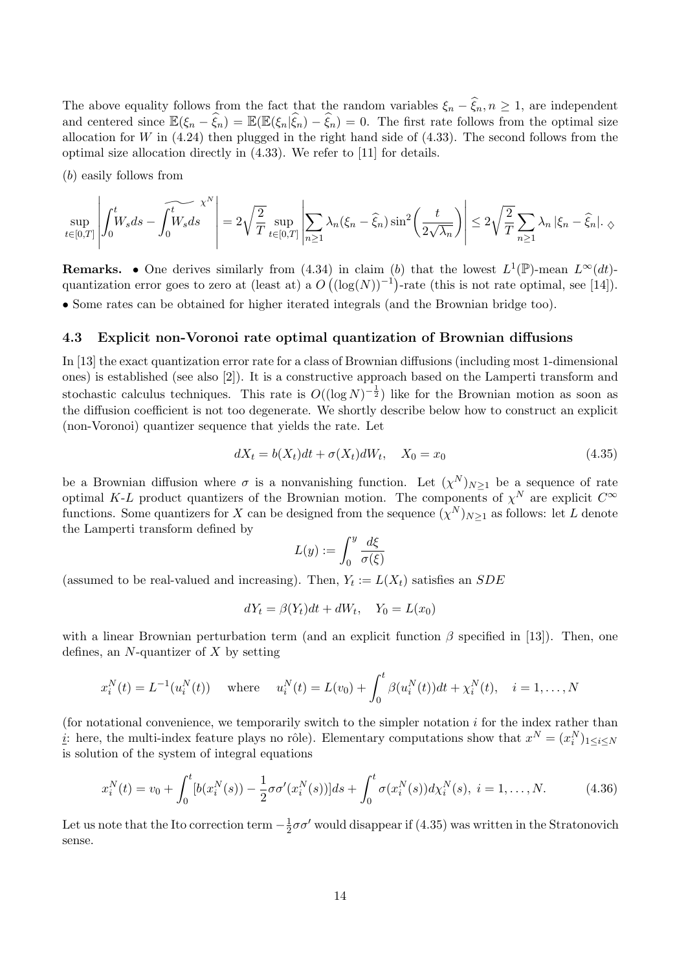The above equality follows from the fact that the random variables  $\xi_n - \hat{\xi}_n, n \ge 1$ , are independent and centered since  $\mathbb{E}(\xi_n - \widehat{\xi}_n) = \mathbb{E}(\mathbb{E}(\xi_n|\widehat{\xi}_n) - \widehat{\xi}_n) = 0$ . The first rate follows from the optimal size allocation for W in  $(4.24)$  then plugged in the right hand side of  $(4.33)$ . The second follows from the optimal size allocation directly in (4.33). We refer to [11] for details.

(b) easily follows from

$$
\sup_{t\in[0,T]}\left|\int_0^t\!\!\!W_sds-\int_0^t\!\!\!\!\!W_sds\right|=2\sqrt{\frac{2}{T}}\sup_{t\in[0,T]}\left|\sum_{n\geq 1}\lambda_n(\xi_n-\widehat{\xi}_n)\sin^2\!\left(\frac{t}{2\sqrt{\lambda_n}}\right)\right|\leq 2\sqrt{\frac{2}{T}}\sum_{n\geq 1}\lambda_n\left|\xi_n-\widehat{\xi}_n\right|.
$$

**Remarks.** • One derives similarly from (4.34) in claim (b) that the lowest  $L^1(\mathbb{P})$ -mean  $L^{\infty}(dt)$ . quantization error goes to zero at (least at) a  $O((\log(N))^{-1})$ -rate (this is not rate optimal, see [14]). • Some rates can be obtained for higher iterated integrals (and the Brownian bridge too).

#### 4.3 Explicit non-Voronoi rate optimal quantization of Brownian diffusions

In [13] the exact quantization error rate for a class of Brownian diffusions (including most 1-dimensional ones) is established (see also [2]). It is a constructive approach based on the Lamperti transform and stochastic calculus techniques. This rate is  $O((\log N)^{-\frac{1}{2}})$  like for the Brownian motion as soon as the diffusion coefficient is not too degenerate. We shortly describe below how to construct an explicit (non-Voronoi) quantizer sequence that yields the rate. Let

$$
dX_t = b(X_t)dt + \sigma(X_t)dW_t, \quad X_0 = x_0 \tag{4.35}
$$

be a Brownian diffusion where  $\sigma$  is a nonvanishing function. Let  $(\chi^N)_{N\geq 1}$  be a sequence of rate optimal K-L product quantizers of the Brownian motion. The components of  $\chi^N$  are explicit  $C^{\infty}$ functions. Some quantizers for X can be designed from the sequence  $(\chi^N)_{N\geq 1}$  as follows: let L denote the Lamperti transform defined by

$$
L(y) := \int_0^y \frac{d\xi}{\sigma(\xi)}
$$

(assumed to be real-valued and increasing). Then,  $Y_t := L(X_t)$  satisfies an  $SDE$ 

$$
dY_t = \beta(Y_t)dt + dW_t, \quad Y_0 = L(x_0)
$$

with a linear Brownian perturbation term (and an explicit function  $\beta$  specified in [13]). Then, one defines, an  $N$ -quantizer of  $X$  by setting

$$
x_i^N(t) = L^{-1}(u_i^N(t)) \quad \text{where} \quad u_i^N(t) = L(v_0) + \int_0^t \beta(u_i^N(t))dt + \chi_i^N(t), \quad i = 1, \dots, N
$$

(for notational convenience, we temporarily switch to the simpler notation  $i$  for the index rather than *i*: here, the multi-index feature plays no rôle). Elementary computations show that  $x^N = (x_i^N)_{1 \le i \le N}$ is solution of the system of integral equations

$$
x_i^N(t) = v_0 + \int_0^t [b(x_i^N(s)) - \frac{1}{2}\sigma\sigma'(x_i^N(s))]ds + \int_0^t \sigma(x_i^N(s))d\chi_i^N(s), \ i = 1, \dots, N. \tag{4.36}
$$

Let us note that the Ito correction term  $-\frac{1}{2}$  $\frac{1}{2}\sigma\sigma'$  would disappear if (4.35) was written in the Stratonovich sense.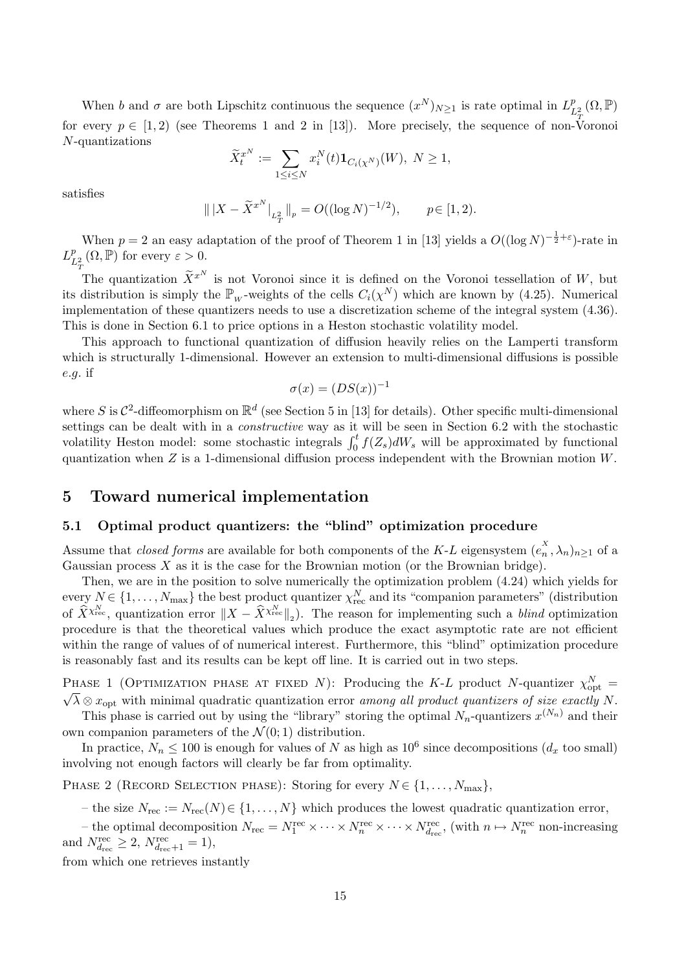When b and  $\sigma$  are both Lipschitz continuous the sequence  $(x^N)_{N\geq 1}$  is rate optimal in  $L_I^p$  $L^2_{\scriptscriptstyle{I\!I\!I}}(\Omega,\mathbb{P})$ for every  $p \in [1,2)$  (see Theorems 1 and 2 in [13]). More precisely, the sequence of non-Voronoi N-quantizations

$$
\widetilde{X}_t^{x^N} := \sum_{1 \le i \le N} x_i^N(t) \mathbf{1}_{C_i(\chi^N)}(W), \ N \ge 1,
$$

satisfies

$$
\| |X - \widetilde{X}^{x^N}|_{L^2_T} \|_p = O((\log N)^{-1/2}), \qquad p \in [1, 2).
$$

When  $p = 2$  an easy adaptation of the proof of Theorem 1 in [13] yields a  $O((\log N)^{-\frac{1}{2}+\epsilon})$ -rate in  $L^p_{I}$  $L^p_{T}(\Omega, \mathbb{P})$  for every  $\varepsilon > 0$ .

The quantization  $\widetilde{X}^{x^N}$  is not Voronoi since it is defined on the Voronoi tessellation of W, but its distribution is simply the  $\mathbb{P}_w$ -weights of the cells  $C_i(\chi^N)$  which are known by (4.25). Numerical implementation of these quantizers needs to use a discretization scheme of the integral system (4.36). This is done in Section 6.1 to price options in a Heston stochastic volatility model.

This approach to functional quantization of diffusion heavily relies on the Lamperti transform which is structurally 1-dimensional. However an extension to multi-dimensional diffusions is possible  $e.g.$  if

$$
\sigma(x) = (DS(x))^{-1}
$$

where S is  $\mathcal{C}^2$ -diffeomorphism on  $\mathbb{R}^d$  (see Section 5 in [13] for details). Other specific multi-dimensional settings can be dealt with in a constructive way as it will be seen in Section 6.2 with the stochastic settings can be dealt with in a *constructive* way as it will be seen in Section 0.2 with the stochastic volatility Heston model: some stochastic integrals  $\int_0^t f(Z_s) dW_s$  will be approximated by functional quantization when  $Z$  is a 1-dimensional diffusion process independent with the Brownian motion  $W$ .

## 5 Toward numerical implementation

#### 5.1 Optimal product quantizers: the "blind" optimization procedure

Assume that *closed forms* are available for both components of the K-L eigensystem  $(e_n^X, \lambda_n)_{n\geq 1}$  of a Gaussian process  $X$  as it is the case for the Brownian motion (or the Brownian bridge).

Then, we are in the position to solve numerically the optimization problem (4.24) which yields for every  $N \in \{1, \ldots, N_{\text{max}}\}$  the best product quantizer  $\chi_{\text{rec}}^N$  and its "companion parameters" (distribution of  $\widehat{X}^{\chi_{\text{rec}}^{N}}$ , quantization error  $||X - \widehat{X}^{\chi_{\text{rec}}^{N}}||_2$ ). The reason for implementing such a *blind* optimization procedure is that the theoretical values which produce the exact asymptotic rate are not efficient within the range of values of of numerical interest. Furthermore, this "blind" optimization procedure is reasonably fast and its results can be kept off line. It is carried out in two steps.

PHASE 1 (OPTIMIZATION PHASE AT FIXED N): Producing the K-L product N-quantizer  $\chi_{\text{opt}}^N = \overline{\chi}$  $\sqrt{\lambda} \otimes x_{\text{opt}}$  with minimal quadratic quantization error among all product quantizers of size exactly N.

This phase is carried out by using the "library" storing the optimal  $N_n$ -quantizers  $x^{(N_n)}$  and their own companion parameters of the  $\mathcal{N}(0;1)$  distribution.

In practice,  $N_n \leq 100$  is enough for values of N as high as  $10^6$  since decompositions  $(d_x \text{ too small})$ involving not enough factors will clearly be far from optimality.

PHASE 2 (RECORD SELECTION PHASE): Storing for every  $N \in \{1, \ldots, N_{\text{max}}\},$ 

– the size  $N_{\text{rec}} := N_{\text{rec}}(N) \in \{1, \ldots, N\}$  which produces the lowest quadratic quantization error,

- the optimal decomposition  $N_{\text{rec}} = N_1^{\text{rec}} \times \cdots \times N_n^{\text{rec}} \times \cdots \times N_{d_{\text{rec}}}^{\text{rec}}$ , (with  $n \mapsto N_n^{\text{rec}}$  non-increasing and  $N_{d_{\text{rec}}}^{\text{rec}} \geq 2$ ,  $N_{d_{\text{rec}}+1}^{\text{rec}} = 1$ ),

from which one retrieves instantly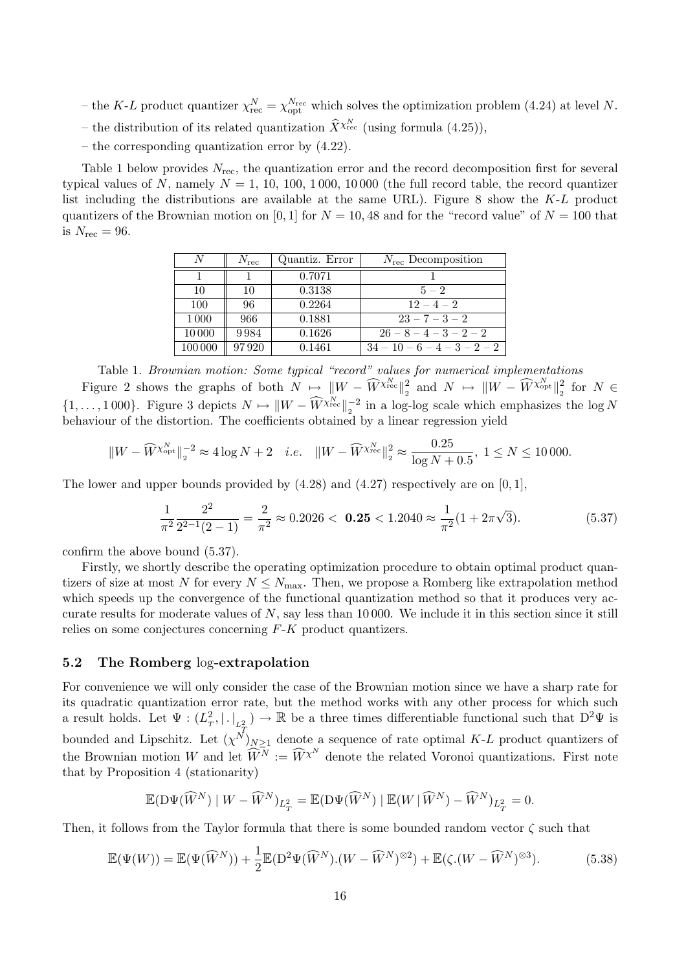- the K-L product quantizer  $\chi_{\text{rec}}^{N} = \chi_{\text{opt}}^{N_{\text{rec}}}$  which solves the optimization problem (4.24) at level N.
- the distribution of its related quantization  $\hat{X}^{\chi_{\text{rec}}^N}$  (using formula (4.25)),
- the corresponding quantization error by  $(4.22)$ .

Table 1 below provides  $N_{\text{rec}}$ , the quantization error and the record decomposition first for several typical values of N, namely  $N = 1, 10, 100, 1000, 10000$  (the full record table, the record quantizer list including the distributions are available at the same URL). Figure 8 show the  $K-L$  product quantizers of the Brownian motion on [0, 1] for  $N = 10, 48$  and for the "record value" of  $N = 100$  that is  $N_{\text{rec}} = 96$ .

| N       | $N_{\rm rec}$ | Quantiz. Error | $N_{\text{rec}}$ Decomposition |
|---------|---------------|----------------|--------------------------------|
|         |               | 0.7071         |                                |
| 10      | 10            | 0.3138         | $5 - 2$                        |
| 100     | 96            | 0.2264         | $12 - 4 - 2$                   |
| 1 0 0 0 | 966           | 0.1881         | $23 - 7 - 3 - 2$               |
| 10000   | 9984          | 0.1626         | $26 - 8 - 4 - 3 - 2 - 2$       |
| 100000  | 97920         | 0.1461         | $34-10-6-4-3-2-2$              |

Table 1. Brownian motion: Some typical "record" values for numerical implementations Figure 2 shows the graphs of both  $N \mapsto ||W - \widehat{W}^{X_{\text{rec}}^N}||_2^2$  and  $N \mapsto ||W - \widehat{W}^{X_{\text{opt}}^N}||_2^2$  for  $N \in$  $\{1,\ldots,1\,000\}$ . Figure 3 depicts  $N \mapsto ||W - \widehat{W}^{\chi^N_{\text{rec}}}\|_2^{-2}$  in a log-log scale which emphasizes the log N behaviour of the distortion. The coefficients obtained by a linear regression yield

$$
||W - \widehat{W}^{X_{\text{opt}}^N}||_2^{-2} \approx 4 \log N + 2 \quad i.e. \quad ||W - \widehat{W}^{X_{\text{rec}}^N}||_2^2 \approx \frac{0.25}{\log N + 0.5}, \ 1 \le N \le 10000.
$$

The lower and upper bounds provided by  $(4.28)$  and  $(4.27)$  respectively are on [0, 1],

$$
\frac{1}{\pi^2} \frac{2^2}{2^{2-1}(2-1)} = \frac{2}{\pi^2} \approx 0.2026 < 0.25 < 1.2040 \approx \frac{1}{\pi^2} (1 + 2\pi\sqrt{3}).\tag{5.37}
$$

confirm the above bound (5.37).

Firstly, we shortly describe the operating optimization procedure to obtain optimal product quantizers of size at most N for every  $N \leq N_{\text{max}}$ . Then, we propose a Romberg like extrapolation method which speeds up the convergence of the functional quantization method so that it produces very accurate results for moderate values of  $N$ , say less than 10 000. We include it in this section since it still relies on some conjectures concerning F-K product quantizers.

#### 5.2 The Romberg log-extrapolation

For convenience we will only consider the case of the Brownian motion since we have a sharp rate for its quadratic quantization error rate, but the method works with any other process for which such a result holds. Let  $\Psi: (L^2_T, |\cdot|_{L^2_T}) \to \mathbb{R}$  be a three times differentiable functional such that  $D^2\Psi$  is bounded and Lipschitz. Let  $\overline{(\chi^N)}_{N\geq 1}$  denote a sequence of rate optimal K-L product quantizers of the Brownian motion W and let  $\widehat{W}^N := \widehat{W}^{\chi^N}$  denote the related Voronoi quantizations. First note that by Proposition 4 (stationarity)

$$
\mathbb{E}(\mathrm{D}\Psi(\widehat{W}^N)\mid W-\widehat{W}^N)_{L^2_T}=\mathbb{E}(\mathrm{D}\Psi(\widehat{W}^N)\mid \mathbb{E}(W\mid \widehat{W}^N)-\widehat{W}^N)_{L^2_T}=0.
$$

Then, it follows from the Taylor formula that there is some bounded random vector  $\zeta$  such that

$$
\mathbb{E}(\Psi(W)) = \mathbb{E}(\Psi(\widehat{W}^N)) + \frac{1}{2}\mathbb{E}(\mathcal{D}^2\Psi(\widehat{W}^N)(W - \widehat{W}^N)^{\otimes 2}) + \mathbb{E}(\zeta(W - \widehat{W}^N)^{\otimes 3}).
$$
\n(5.38)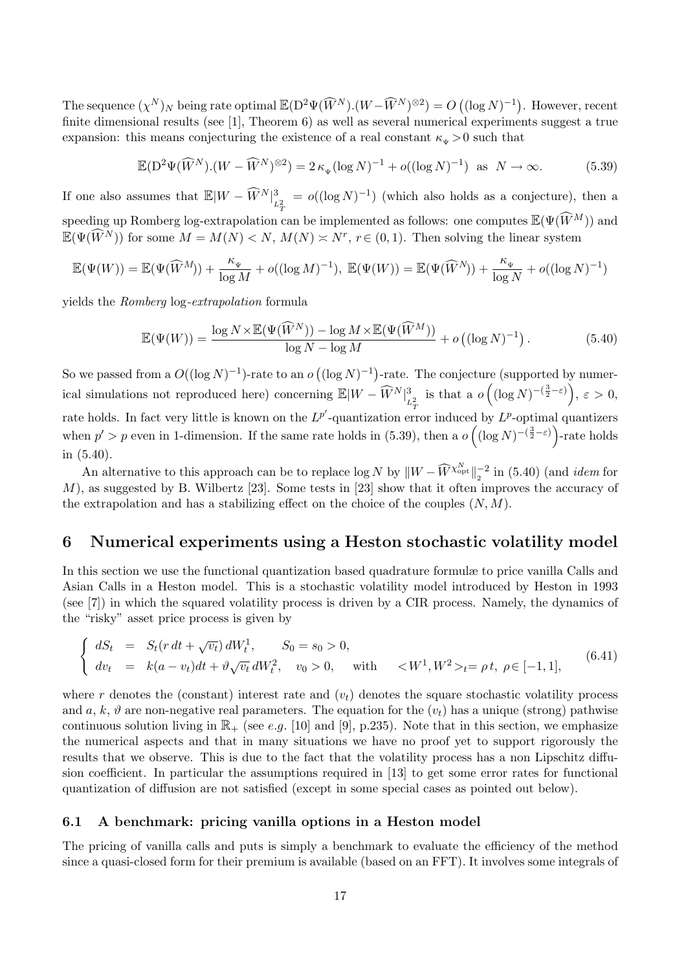The sequence  $({\chi}^N)_N$  being rate optimal  $\mathbb{E}(\mathrm{D}^2 \Psi(\widehat{W}^N) . (W - \widehat{W}^N)^{\otimes 2}) = O$ ¡  $(\log N)^{-1}$ . However, recent finite dimensional results (see [1], Theorem 6) as well as several numerical experiments suggest a true expansion: this means conjecturing the existence of a real constant  $\kappa_w > 0$  such that

$$
\mathbb{E}(\mathcal{D}^2 \Psi(\widehat{W}^N) \cdot (W - \widehat{W}^N)^{\otimes 2}) = 2 \kappa_{\Psi} (\log N)^{-1} + o((\log N)^{-1}) \text{ as } N \to \infty.
$$
 (5.39)

If one also assumes that  $\mathbb{E}|W - \widehat{W}^{N}|^3$ .  $L_T^2$  $= o((\log N)^{-1})$  (which also holds as a conjecture), then a speeding up Romberg log-extrapolation can be implemented as follows: one computes  $\mathbb{E}(\Psi(\widehat{W}^M))$  and  $\mathbb{E}(\Psi(\widehat{W}^N))$  for some  $M = M(N) < N$ ,  $M(N) \asymp N^r$ ,  $r \in (0, 1)$ . Then solving the linear system

$$
\mathbb{E}(\Psi(W)) = \mathbb{E}(\Psi(\widehat{W}^M)) + \frac{\kappa_{\Psi}}{\log M} + o((\log M)^{-1}), \ \mathbb{E}(\Psi(W)) = \mathbb{E}(\Psi(\widehat{W}^N)) + \frac{\kappa_{\Psi}}{\log N} + o((\log N)^{-1})
$$

yields the Romberg log-extrapolation formula

$$
\mathbb{E}(\Psi(W)) = \frac{\log N \times \mathbb{E}(\Psi(\widehat{W}^N)) - \log M \times \mathbb{E}(\Psi(\widehat{W}^M))}{\log N - \log M} + o\left((\log N)^{-1}\right). \tag{5.40}
$$

So we passed from a  $O((\log N)^{-1})$ -rate to an o ¡  $(\log N)^{-1}$ -rate. The conjecture (supported by numerical simulations not reproduced here) concerning  $\mathbb{E}[W - \widehat{W}^{N}]$  $L_T^2$ is that a  $o((\log N)^{-(\frac{3}{2}-\varepsilon)}), \varepsilon > 0,$ rate holds. In fact very little is known on the  $L^{p'}$ -quantization error induced by  $L^p$ -optimal quantizers when  $p' > p$  even in 1-dimension. If the same rate holds in (5.39), then a  $o((\log N)^{-(\frac{3}{2}-\varepsilon)})$ -rate holds in (5.40).

An alternative to this approach can be to replace  $\log N$  by  $||W - \widehat{W}^{X_{\text{opt}}^N}||_2^{-2}$  in (5.40) (and *idem* for  $M$ ), as suggested by B. Wilbertz [23]. Some tests in [23] show that it often improves the accuracy of the extrapolation and has a stabilizing effect on the choice of the couples  $(N, M)$ .

## 6 Numerical experiments using a Heston stochastic volatility model

In this section we use the functional quantization based quadrature formulæ to price vanilla Calls and Asian Calls in a Heston model. This is a stochastic volatility model introduced by Heston in 1993 (see [7]) in which the squared volatility process is driven by a CIR process. Namely, the dynamics of the "risky" asset price process is given by

$$
\begin{cases}\ndS_t = S_t(r dt + \sqrt{v_t}) dW_t^1, & S_0 = s_0 > 0, \\
dv_t = k(a - v_t) dt + \vartheta \sqrt{v_t} dW_t^2, & v_0 > 0, \text{ with } \langle W^1, W^2 \rangle_t = \rho t, \ \rho \in [-1, 1],\n\end{cases} (6.41)
$$

where r denotes the (constant) interest rate and  $(v_t)$  denotes the square stochastic volatility process and a, k,  $\vartheta$  are non-negative real parameters. The equation for the  $(v_t)$  has a unique (strong) pathwise continuous solution living in  $\mathbb{R}_+$  (see e.g. [10] and [9], p.235). Note that in this section, we emphasize the numerical aspects and that in many situations we have no proof yet to support rigorously the results that we observe. This is due to the fact that the volatility process has a non Lipschitz diffusion coefficient. In particular the assumptions required in [13] to get some error rates for functional quantization of diffusion are not satisfied (except in some special cases as pointed out below).

#### 6.1 A benchmark: pricing vanilla options in a Heston model

The pricing of vanilla calls and puts is simply a benchmark to evaluate the efficiency of the method since a quasi-closed form for their premium is available (based on an FFT). It involves some integrals of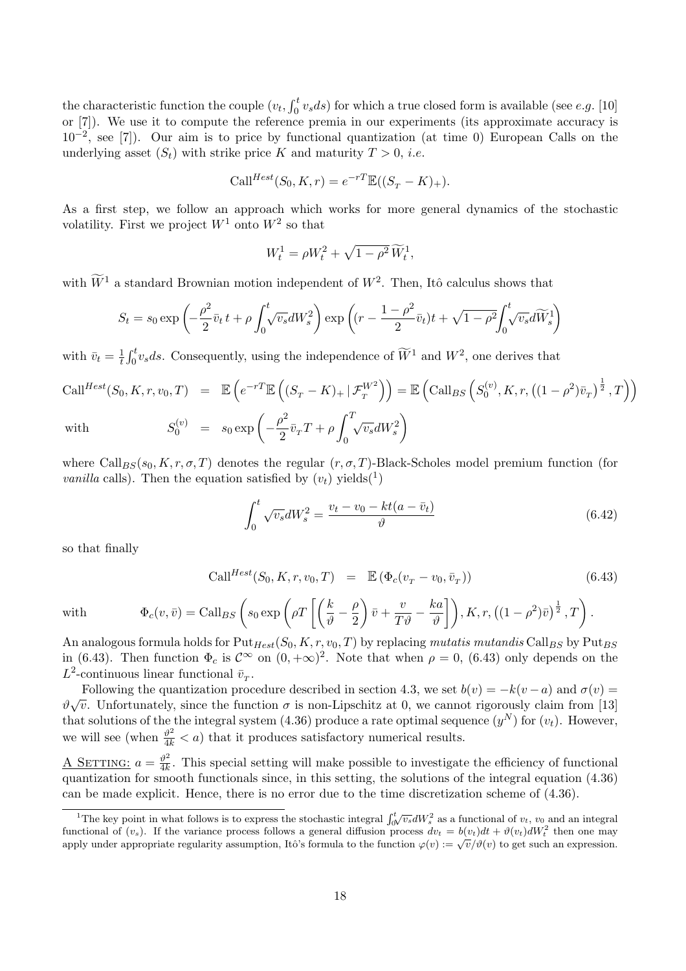the characteristic function the couple  $(v_t, \int_0^t$  $v_0^t$   $v_s$ ds) for which a true closed form is available (see *e.g.* [10] or [7]). We use it to compute the reference premia in our experiments (its approximate accuracy is 10−<sup>2</sup> , see [7]). Our aim is to price by functional quantization (at time 0) European Calls on the underlying asset  $(S_t)$  with strike price K and maturity  $T > 0$ , *i.e.* 

Call<sup>Hest</sup>
$$
(S_0, K, r) = e^{-rT} \mathbb{E}((S_T - K)_+).
$$

As a first step, we follow an approach which works for more general dynamics of the stochastic volatility. First we project  $W^1$  onto  $W^2$  so that

$$
W_t^1 = \rho W_t^2 + \sqrt{1 - \rho^2} \,\widetilde{W}_t^1,
$$

with  $\widetilde{W}^1$  a standard Brownian motion independent of  $W^2$ . Then, Itô calculus shows that

$$
S_t = s_0 \exp\left(-\frac{\rho^2}{2}\bar{v}_t t + \rho \int_0^t \sqrt{\bar{v}_s} dW_s^2\right) \exp\left((r - \frac{1 - \rho^2}{2}\bar{v}_t)t + \sqrt{1 - \rho^2} \int_0^t \sqrt{\bar{v}_s} d\widetilde{W}_s^1\right)
$$

with  $\bar{v}_t = \frac{1}{t}$ t  $\int_0^t$  $v_0^t v_s ds$ . Consequently, using the independence of  $\widetilde{W}^1$  and  $W^2$ , one derives that

Call<sup>Hest</sup>(S<sub>0</sub>, K, r, v<sub>0</sub>, T) = 
$$
\mathbb{E}\left(e^{-rT}\mathbb{E}\left((S_T - K)_{+}|\mathcal{F}_T^{W^2}\right)\right) = \mathbb{E}\left(\text{Call}_{BS}\left(S_0^{(v)}, K, r, ((1 - \rho^2)\bar{v}_T)^{\frac{1}{2}}, T\right)\right)
$$
  
with 
$$
S_0^{(v)} = s_0 \exp\left(-\frac{\rho^2}{2}\bar{v}_T T + \rho \int_0^T \sqrt{v_s} dW_s^2\right)
$$

where Call<sub>BS</sub>(s<sub>0</sub>, K, r,  $\sigma$ , T) denotes the regular (r,  $\sigma$ , T)-Black-Scholes model premium function (for *vanilla* calls). Then the equation satisfied by  $(v_t)$  yields<sup>(1</sup>)

$$
\int_0^t \sqrt{v_s} dW_s^2 = \frac{v_t - v_0 - kt(a - \bar{v}_t)}{\vartheta} \tag{6.42}
$$

so that finally

$$
\text{Call}^{Hest}(S_0, K, r, v_0, T) = \mathbb{E} \left( \Phi_c(v_T - v_0, \bar{v}_T) \right) \tag{6.43}
$$

with 
$$
\Phi_c(v,\bar{v}) = \text{Call}_{BS}\left(s_0 \exp\left(\rho T \left[\left(\frac{k}{\vartheta} - \frac{\rho}{2}\right)\bar{v} + \frac{v}{T\vartheta} - \frac{ka}{\vartheta}\right]\right), K, r, \left((1 - \rho^2)\bar{v}\right)^{\frac{1}{2}}, T\right).
$$

An analogous formula holds for  $Put_{Hest}(S_0, K, r, v_0, T)$  by replacing mutatis mutandis Call<sub>BS</sub> by Put<sub>BS</sub> in (6.43). Then function  $\Phi_c$  is  $\mathcal{C}^{\infty}$  on  $(0, +\infty)^2$ . Note that when  $\rho = 0$ , (6.43) only depends on the  $L^2$ -continuous linear functional  $\bar{v}_T$ .

Following the quantization procedure described in section 4.3, we set  $b(v) = -k(v - a)$  and  $\sigma(v) =$ Following the quantization procedure described in section 4.5, we set  $\theta(\theta) = -\kappa(\theta - \theta)$  and  $\theta(\theta) = \theta \sqrt{\theta}$ . Unfortunately, since the function  $\sigma$  is non-Lipschitz at 0, we cannot rigorously claim from [13] that solutions of the the integral system (4.36) produce a rate optimal sequence  $(y^N)$  for  $(v_t)$ . However, we will see (when  $\frac{\vartheta^2}{4k} < a$ ) that it produces satisfactory numerical results.

A SETTING:  $a = \frac{\vartheta^2}{4k}$  $\frac{\partial^2}{\partial k}$ . This special setting will make possible to investigate the efficiency of functional quantization for smooth functionals since, in this setting, the solutions of the integral equation (4.36) can be made explicit. Hence, there is no error due to the time discretization scheme of (4.36).

<sup>&</sup>lt;sup>1</sup>The key point in what follows is to express the stochastic integral  $\int_0^t$  $\sqrt[t]{v_s}dW_s^2$  as a functional of  $v_t$ ,  $v_0$  and an integral functional of  $(v_s)$ . If the variance process follows a general diffusion process  $dv_t = b(v_t)dt + \vartheta(v_t)dW_t^2$  then one may apply under appropriate regularity assumption, Itô's formula to the function  $\varphi(v) := \sqrt{v}/\vartheta(v)$  to get such an expression.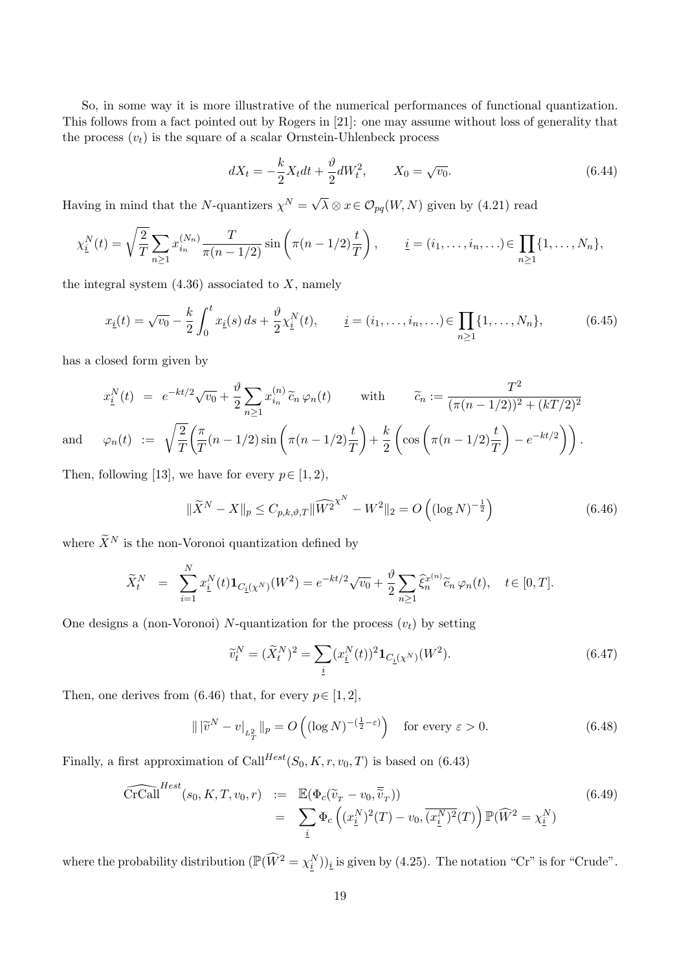So, in some way it is more illustrative of the numerical performances of functional quantization. This follows from a fact pointed out by Rogers in [21]: one may assume without loss of generality that the process  $(v_t)$  is the square of a scalar Ornstein-Uhlenbeck process

$$
dX_t = -\frac{k}{2}X_t dt + \frac{\vartheta}{2}dW_t^2, \qquad X_0 = \sqrt{v_0}.
$$
 (6.44)

Having in mind that the N-quantizers  $\chi^N = \sqrt{\frac{M}{\epsilon}}$  $\lambda \otimes x \in \mathcal{O}_{pq}(W,N)$  given by  $(4.21)$  read

$$
\chi_{\underline{i}}^{N}(t) = \sqrt{\frac{2}{T}} \sum_{n \geq 1} x_{i_n}^{(N_n)} \frac{T}{\pi(n-1/2)} \sin\left(\pi(n-1/2)\frac{t}{T}\right), \qquad \underline{i} = (i_1, \ldots, i_n, \ldots) \in \prod_{n \geq 1} \{1, \ldots, N_n\},
$$

the integral system  $(4.36)$  associated to X, namely

$$
x_{\underline{i}}(t) = \sqrt{v_0} - \frac{k}{2} \int_0^t x_{\underline{i}}(s) ds + \frac{\vartheta}{2} \chi_{\underline{i}}^N(t), \qquad \underline{i} = (i_1, \dots, i_n, \dots) \in \prod_{n \ge 1} \{1, \dots, N_n\},\tag{6.45}
$$

has a closed form given by

$$
x_{\underline{i}}^{N}(t) = e^{-kt/2}\sqrt{v_{0}} + \frac{\vartheta}{2} \sum_{n\geq 1} x_{i_{n}}^{(n)} \tilde{c}_{n} \varphi_{n}(t) \quad \text{with} \quad \tilde{c}_{n} := \frac{T^{2}}{(\pi(n-1/2))^{2} + (kT/2)^{2}}
$$
  
and 
$$
\varphi_{n}(t) := \sqrt{\frac{2}{T}} \left(\frac{\pi}{T}(n-1/2)\sin\left(\pi(n-1/2)\frac{t}{T}\right) + \frac{k}{2}\left(\cos\left(\pi(n-1/2)\frac{t}{T}\right) - e^{-kt/2}\right)\right).
$$

Then, following [13], we have for every  $p \in [1, 2)$ ,

$$
\|\widetilde{X}^{N} - X\|_{p} \le C_{p,k,\vartheta,T} \|\widehat{W^2}^{X^N} - W^2\|_{2} = O\left( (\log N)^{-\frac{1}{2}} \right)
$$
\n(6.46)

where  $\tilde{X}^N$  is the non-Voronoi quantization defined by

$$
\widetilde{X}_t^N = \sum_{i=1}^N x_i^N(t) \mathbf{1}_{C_i(X^N)}(W^2) = e^{-kt/2} \sqrt{v_0} + \frac{\vartheta}{2} \sum_{n \ge 1} \widehat{\xi}_n^{x^{(n)}} \widetilde{c}_n \,\varphi_n(t), \quad t \in [0, T].
$$

One designs a (non-Voronoi) N-quantization for the process  $(v_t)$  by setting

$$
\widetilde{v}_t^N = (\widetilde{X}_t^N)^2 = \sum_i (x_i^N(t))^2 \mathbf{1}_{C_i(\chi^N)}(W^2). \tag{6.47}
$$

Then, one derives from (6.46) that, for every  $p \in [1, 2]$ ,

$$
\|\left|\tilde{v}^N - v\right|_{L^2_T} \|_p = O\left( (\log N)^{-(\frac{1}{2} - \varepsilon)} \right) \quad \text{for every } \varepsilon > 0. \tag{6.48}
$$

Finally, a first approximation of Call<sup>Hest</sup> $(S_0, K, r, v_0, T)$  is based on (6.43)

$$
\widehat{\text{CrCall}}^{\text{Hest}}(s_0, K, T, v_0, r) := \mathbb{E}(\Phi_c(\widetilde{v}_T - v_0, \overline{\widetilde{v}}_T))
$$
\n
$$
= \sum_i \Phi_c\left((x_i^N)^2(T) - v_0, \overline{(x_i^N)^2}(T)\right) \mathbb{P}(\widehat{W}^2 = \chi_i^N) \tag{6.49}
$$

where the probability distribution  $(\mathbb{P}(\widehat{W}^2 = \chi_i^N))_i$  is given by (4.25). The notation "Cr" is for "Crude".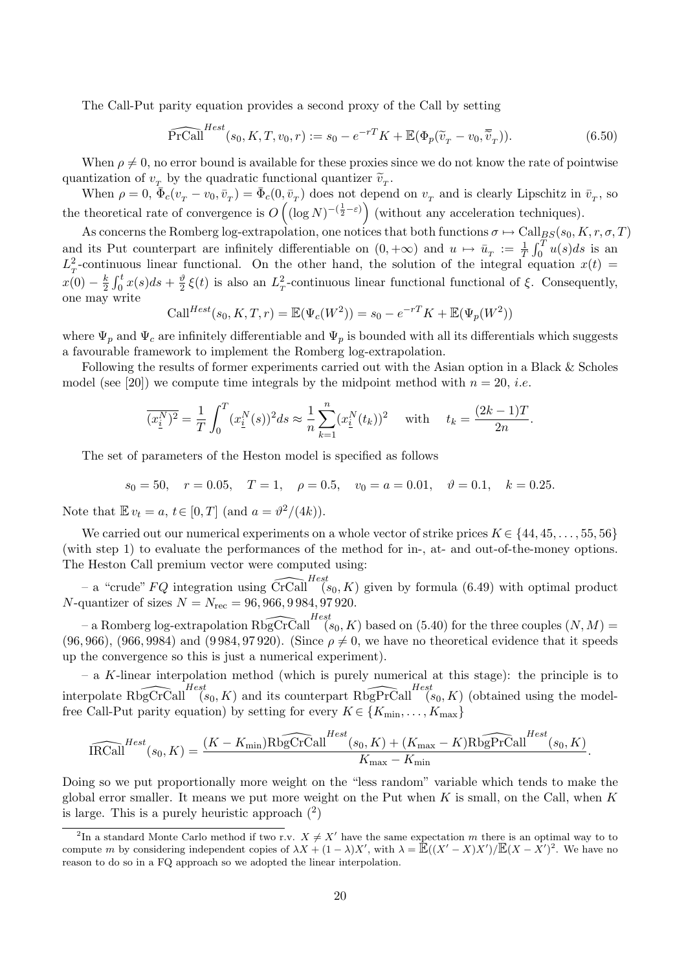The Call-Put parity equation provides a second proxy of the Call by setting

$$
\widehat{\text{PrCall}}^{\text{Hest}}(s_0, K, T, v_0, r) := s_0 - e^{-rT} K + \mathbb{E}(\Phi_p(\widetilde{v}_T - v_0, \overline{\widetilde{v}}_T)).\tag{6.50}
$$

When  $\rho \neq 0$ , no error bound is available for these proxies since we do not know the rate of pointwise quantization of  $v_T$  by the quadratic functional quantizer  $\tilde{v}_T$ .

When  $\rho = 0$ ,  $\bar{\Phi}_c(v_T - v_0, \bar{v}_T) = \bar{\Phi}_c(0, \bar{v}_T)$  does not depend on  $v_T$  and is clearly Lipschitz in  $\bar{v}_T$ , so the theoretical rate of convergence is  $O((\log N)^{-(\frac{1}{2}-\varepsilon)})$  (without any acceleration techniques).

As concerns the Romberg log-extrapolation, one notices that both functions  $\sigma \mapsto \text{Call}_{BS}(s_0, K, r, \sigma, T)$ and its Put counterpart are infinitely differentiable on  $(0, +\infty)$  and  $u \mapsto \bar{u}_T := \frac{1}{T}$  $\frac{\mu_1}{r^T}$  $\int_0^1 u(s)ds$  is an  $L_T^2$ -continuous linear functional. On the other hand, the solution of the integral equation  $x(t) =$ <br> $L_T^2$ ,  $\int_C f(x) dx + \int_C f(x) dx$  is also as  $L^2$  explicitly explicitly functional of  $\zeta$ . Conserver the  $x(0) - \frac{k}{2}$  $\frac{k}{2}\int_0^t x(s)ds+\frac{\vartheta}{2}$  $\frac{\partial}{\partial z} \xi(t)$  is also an  $L_T^2$ -continuous linear functional functional of  $\xi$ . Consequently, one may write

$$
\text{Call}^{Hest}(s_0, K, T, r) = \mathbb{E}(\Psi_c(W^2)) = s_0 - e^{-rT}K + \mathbb{E}(\Psi_p(W^2))
$$

where  $\Psi_p$  and  $\Psi_c$  are infinitely differentiable and  $\Psi_p$  is bounded with all its differentials which suggests a favourable framework to implement the Romberg log-extrapolation.

Following the results of former experiments carried out with the Asian option in a Black & Scholes model (see [20]) we compute time integrals by the midpoint method with  $n = 20$ , *i.e.* 

$$
\overline{(x_i^N)^2} = \frac{1}{T} \int_0^T (x_i^N(s))^2 ds \approx \frac{1}{n} \sum_{k=1}^n (x_i^N(t_k))^2 \quad \text{with} \quad t_k = \frac{(2k-1)T}{2n}.
$$

The set of parameters of the Heston model is specified as follows

$$
s_0 = 50
$$
,  $r = 0.05$ ,  $T = 1$ ,  $\rho = 0.5$ ,  $v_0 = a = 0.01$ ,  $\vartheta = 0.1$ ,  $k = 0.25$ .

Note that  $\mathbb{E} v_t = a, t \in [0, T]$  (and  $a = \frac{\vartheta^2}{4k}$ ).

We carried out our numerical experiments on a whole vector of strike prices  $K \in \{44, 45, \ldots, 55, 56\}$ (with step 1) to evaluate the performances of the method for in-, at- and out-of-the-money options. The Heston Call premium vector were computed using:

– a "crude" FQ integration using  $\widehat{\text{CrCall}}_{(s_0, K)}^{Hest}$  given by formula (6.49) with optimal product N-quantizer of sizes  $N = N_{\text{rec}} = 96,966,9984,97920.$ 

 $-$  a Romberg log-extrapolation  $\widehat{\mathrm{RbgCrCall}}^{Hest}(s_0, K)$  based on (5.40) for the three couples  $(N, M)$  = (96, 966), (966, 9984) and (9 984, 97 920). (Since  $\rho \neq 0$ , we have no theoretical evidence that it speeds up the convergence so this is just a numerical experiment).

 $-$  a K-linear interpolation method (which is purely numerical at this stage): the principle is to interpolate  $\widehat{\text{RbgCrCall}}^{Hest}(s_0, K)$  and its counterpart  $\widehat{\text{RbgPrCall}}^{Hest}(s_0, K)$  (obtained using the modelfree Call-Put parity equation) by setting for every  $K \in \{K_{\min}, \ldots, K_{\max}\}\$ 

$$
\widehat{\text{IRCall}}^{Hest}(s_0, K) = \frac{(K - K_{\min}) \widehat{\text{RbgCrCall}}^{Hest}(s_0, K) + (K_{\max} - K) \widehat{\text{RbgPrCall}}^{Hest}(s_0, K)}{K_{\max} - K_{\min}}.
$$

Doing so we put proportionally more weight on the "less random" variable which tends to make the global error smaller. It means we put more weight on the Put when  $K$  is small, on the Call, when  $K$ is large. This is a purely heuristic approach  $(2)$ 

<sup>&</sup>lt;sup>2</sup>In a standard Monte Carlo method if two r.v.  $X \neq X'$  have the same expectation m there is an optimal way to to compute m by considering independent copies of  $\lambda X + (1 - \lambda)X'$ , with  $\lambda = \mathbb{E}((X' - X)X')/\mathbb{E}(X - \hat{X}')^2$ . We have no reason to do so in a FQ approach so we adopted the linear interpolation.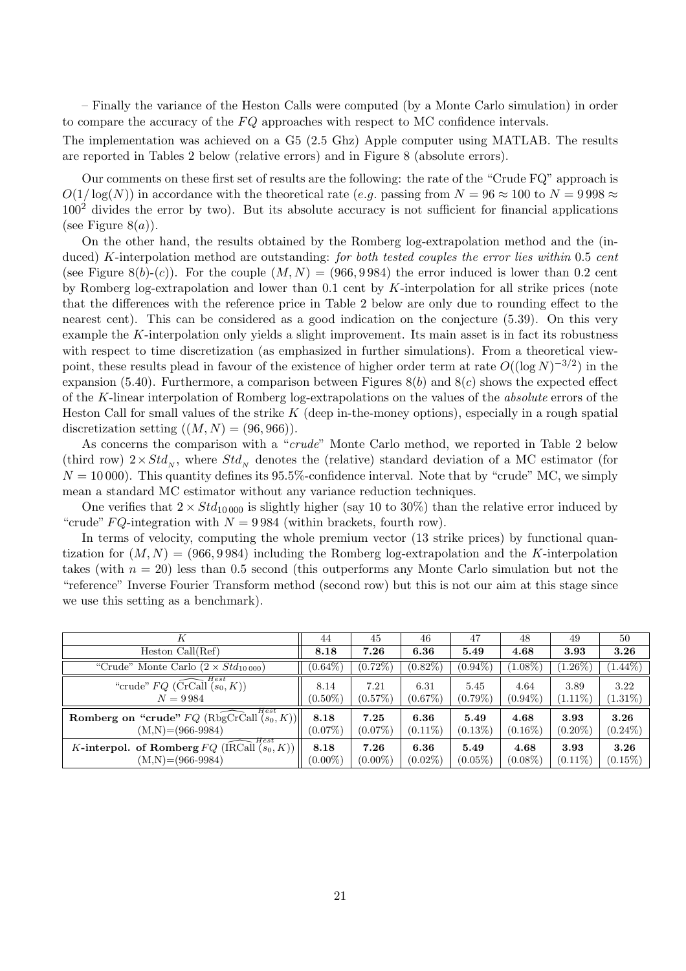– Finally the variance of the Heston Calls were computed (by a Monte Carlo simulation) in order to compare the accuracy of the  $FQ$  approaches with respect to MC confidence intervals.

The implementation was achieved on a G5 (2.5 Ghz) Apple computer using MATLAB. The results are reported in Tables 2 below (relative errors) and in Figure 8 (absolute errors).

Our comments on these first set of results are the following: the rate of the "Crude FQ" approach is  $O(1/\log(N))$  in accordance with the theoretical rate (e.g. passing from  $N = 96 \approx 100$  to  $N = 9998 \approx$ 100<sup>2</sup> divides the error by two). But its absolute accuracy is not sufficient for financial applications (see Figure  $8(a)$ ).

On the other hand, the results obtained by the Romberg log-extrapolation method and the (induced) K-interpolation method are outstanding: for both tested couples the error lies within 0.5 cent (see Figure 8(b)-(c)). For the couple  $(M, N) = (966, 9984)$  the error induced is lower than 0.2 cent by Romberg log-extrapolation and lower than 0.1 cent by K-interpolation for all strike prices (note that the differences with the reference price in Table 2 below are only due to rounding effect to the nearest cent). This can be considered as a good indication on the conjecture (5.39). On this very example the K-interpolation only yields a slight improvement. Its main asset is in fact its robustness with respect to time discretization (as emphasized in further simulations). From a theoretical viewpoint, these results plead in favour of the existence of higher order term at rate  $O((\log N)^{-3/2})$  in the expansion (5.40). Furthermore, a comparison between Figures  $8(b)$  and  $8(c)$  shows the expected effect of the K-linear interpolation of Romberg log-extrapolations on the values of the absolute errors of the Heston Call for small values of the strike  $K$  (deep in-the-money options), especially in a rough spatial discretization setting  $((M, N) = (96, 966)).$ 

As concerns the comparison with a "crude" Monte Carlo method, we reported in Table 2 below (third row)  $2 \times Std_N$ , where  $Std_N$  denotes the (relative) standard deviation of a MC estimator (for  $N = 10000$ . This quantity defines its 95.5%-confidence interval. Note that by "crude" MC, we simply mean a standard MC estimator without any variance reduction techniques.

One verifies that  $2 \times Std_{10000}$  is slightly higher (say 10 to 30%) than the relative error induced by "crude"  $FQ$ -integration with  $N = 9984$  (within brackets, fourth row).

In terms of velocity, computing the whole premium vector (13 strike prices) by functional quantization for  $(M, N) = (966, 9984)$  including the Romberg log-extrapolation and the K-interpolation takes (with  $n = 20$ ) less than 0.5 second (this outperforms any Monte Carlo simulation but not the "reference" Inverse Fourier Transform method (second row) but this is not our aim at this stage since we use this setting as a benchmark).

| K                                                                           | 44                 | 45                 | 46                 | 47                 | 48                 | 49                 | 50                 |
|-----------------------------------------------------------------------------|--------------------|--------------------|--------------------|--------------------|--------------------|--------------------|--------------------|
| Heston Call(Ref)                                                            | 8.18               | 7.26               | 6.36               | 5.49               | 4.68               | 3.93               | 3.26               |
| "Crude" Monte Carlo $(2 \times Std_{10000})$                                | $(0.64\%)$         | $(0.72\%)$         | $(0.82\%)$         | $(0.94\%)$         | $(1.08\%)$         | $1.26\%)$          | $(1.44\%)$         |
| Hest<br>"crude" $FQ$ (CrCall $(s_0, K)$ )<br>$N = 9.984$                    | 8.14<br>$(0.50\%)$ | 7.21<br>$(0.57\%)$ | 6.31<br>$(0.67\%)$ | 5.45<br>$(0.79\%)$ | 4.64<br>$(0.94\%)$ | 3.89<br>$(1.11\%)$ | 3.22<br>$(1.31\%)$ |
| Hest                                                                        |                    |                    |                    |                    |                    |                    |                    |
| Romberg on "crude" $FQ$ (RbgCrCall $(s_0, K)$ )                             | 8.18               | 7.25               | 6.36               | 5.49               | 4.68               | 3.93               | 3.26               |
| $(M,N)=(966-9984)$                                                          | $(0.07\%)$         | $(0.07\%)$         | $(0.11\%)$         | $(0.13\%)$         | $(0.16\%)$         | $(0.20\%)$         | $(0.24\%)$         |
| Hest<br><i>K</i> -interpol. of Romberg $FQ$ (IRCall $\left(S_0, K\right)$ ) | 8.18               | 7.26               | 6.36               | 5.49               | 4.68               | 3.93               | 3.26               |
| $(M,N)=(966-9984)$                                                          | $(0.00\%)$         | $(0.00\%)$         | $(0.02\%)$         | $(0.05\%)$         | $(0.08\%)$         | $(0.11\%)$         | $(0.15\%)$         |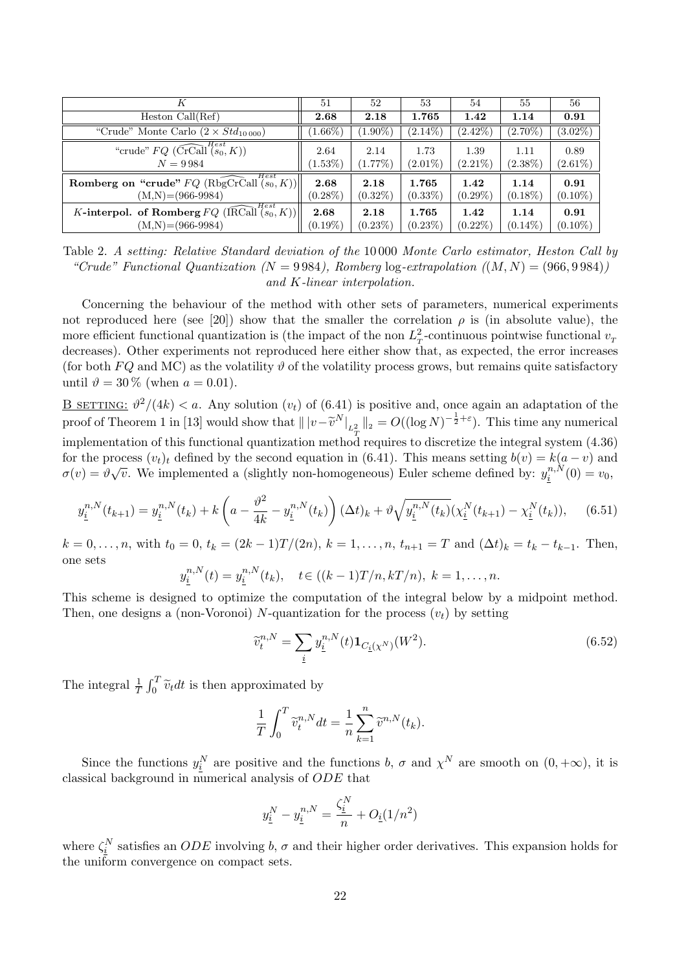| K                                                                                     | 51         | 52         | 53         | 54         | 55         | 56         |
|---------------------------------------------------------------------------------------|------------|------------|------------|------------|------------|------------|
| Heston Call(Ref)                                                                      | 2.68       | 2.18       | 1.765      | 1.42       | 1.14       | 0.91       |
| "Crude" Monte Carlo $(2 \times Std_{10000})$                                          | $1.66\%$ ) | $(1.90\%)$ | $(2.14\%)$ | $(2.42\%)$ | $(2.70\%)$ | $(3.02\%)$ |
| "crude" $FQ \left(\widehat{\text{CrCall}}\left(s_0, K\right)\right)$                  | 2.64       | 2.14       | 1.73       | 1.39       | 1.11       | 0.89       |
| $N = 9.984$                                                                           | $(1.53\%)$ | $(1.77\%)$ | $(2.01\%)$ | $(2.21\%)$ | $(2.38\%)$ | $(2.61\%)$ |
| Hest<br>Romberg on "crude" $FQ \left( \text{RbgCrCall}^{\text{Hess}}(s_0, K) \right)$ | 2.68       | 2.18       | 1.765      | 1.42       | 1.14       | 0.91       |
| $(M,N)=(966-9984)$                                                                    | $(0.28\%)$ | $(0.32\%)$ | $(0.33\%)$ | $(0.29\%)$ | $(0.18\%)$ | $(0.10\%)$ |
| Hest<br><i>K</i> -interpol. of Romberg $FQ$ (IRCall $(s_0, K)$ )                      | 2.68       | 2.18       | 1.765      | 1.42       | 1.14       | 0.91       |
| $(M,N)=(966-9984)$                                                                    | $(0.19\%)$ | $(0.23\%)$ | $(0.23\%)$ | $(0.22\%)$ | $(0.14\%)$ | $(0.10\%)$ |

Table 2. A setting: Relative Standard deviation of the 10 000 Monte Carlo estimator, Heston Call by "Crude" Functional Quantization ( $N = 9984$ ), Romberg log-extrapolation ((M, N) = (966, 9984)) and K-linear interpolation.

Concerning the behaviour of the method with other sets of parameters, numerical experiments not reproduced here (see [20]) show that the smaller the correlation  $\rho$  is (in absolute value), the more efficient functional quantization is (the impact of the non  $L_T^2$ -continuous pointwise functional  $v_T$ decreases). Other experiments not reproduced here either show that, as expected, the error increases (for both  $FQ$  and MC) as the volatility  $\vartheta$  of the volatility process grows, but remains quite satisfactory until  $\vartheta = 30\%$  (when  $a = 0.01$ ).

<u>B setting:</u>  $\vartheta^2/(4k) < a$ . Any solution  $(v_t)$  of (6.41) is positive and, once again an adaptation of the proof of Theorem 1 in [13] would show that  $|||v-\tilde{v}^N|_{L^2_{\tilde{v}}}\|_2 = O((\log N)^{-\frac{1}{2}+\varepsilon})$ . This time any numerical implementation of this functional quantization method requires to discretize the integral system  $(4.36)$ for the process  $(v_t)_t$  defined by the second equation in (6.41). This means setting  $b(v) = k(a - v)$  and for the process  $(v_t)_t$  defined by the second equation in (0.41). This means setting  $\vartheta(v) = \kappa(v)$ <br>  $\sigma(v) = \vartheta \sqrt{v}$ . We implemented a (slightly non-homogeneous) Euler scheme defined by:  $y_i^{n,N}$  $i^{n,N}(0) = v_0,$ 

$$
y_{\underline{i}}^{n,N}(t_{k+1}) = y_{\underline{i}}^{n,N}(t_k) + k\left(a - \frac{\vartheta^2}{4k} - y_{\underline{i}}^{n,N}(t_k)\right)(\Delta t)_k + \vartheta \sqrt{y_{\underline{i}}^{n,N}(t_k)}(\chi_{\underline{i}}^N(t_{k+1}) - \chi_{\underline{i}}^N(t_k)), \quad (6.51)
$$

 $k = 0, \ldots, n$ , with  $t_0 = 0$ ,  $t_k = (2k-1)T/(2n)$ ,  $k = 1, \ldots, n$ ,  $t_{n+1} = T$  and  $(\Delta t)_k = t_k - t_{k-1}$ . Then, one sets

$$
y_{\underline{i}}^{n,N}(t) = y_{\underline{i}}^{n,N}(t_k), \quad t \in ((k-1)T/n, kT/n), \ k = 1, \ldots, n.
$$

This scheme is designed to optimize the computation of the integral below by a midpoint method. Then, one designs a (non-Voronoi) N-quantization for the process  $(v_t)$  by setting

$$
\tilde{v}_t^{n,N} = \sum_i y_i^{n,N}(t) \mathbf{1}_{C_i(\chi^N)}(W^2).
$$
\n(6.52)

The integral  $\frac{1}{T}$  $rT$  $\tilde{v}_t$   $\tilde{v}_t$  *dt* is then approximated by

$$
\frac{1}{T} \int_0^T \widetilde{v}_t^{n,N} dt = \frac{1}{n} \sum_{k=1}^n \widetilde{v}^{n,N}(t_k).
$$

Since the functions  $y_i^N$  are positive and the functions b,  $\sigma$  and  $\chi^N$  are smooth on  $(0, +\infty)$ , it is classical background in numerical analysis of ODE that

$$
y_{\underline{i}}^N - y_{\underline{i}}^{n,N} = \frac{\zeta_{\underline{i}}^N}{n} + O_{\underline{i}}(1/n^2)
$$

where  $\zeta_i^N$  satisfies an  $ODE$  involving b,  $\sigma$  and their higher order derivatives. This expansion holds for the uniform convergence on compact sets.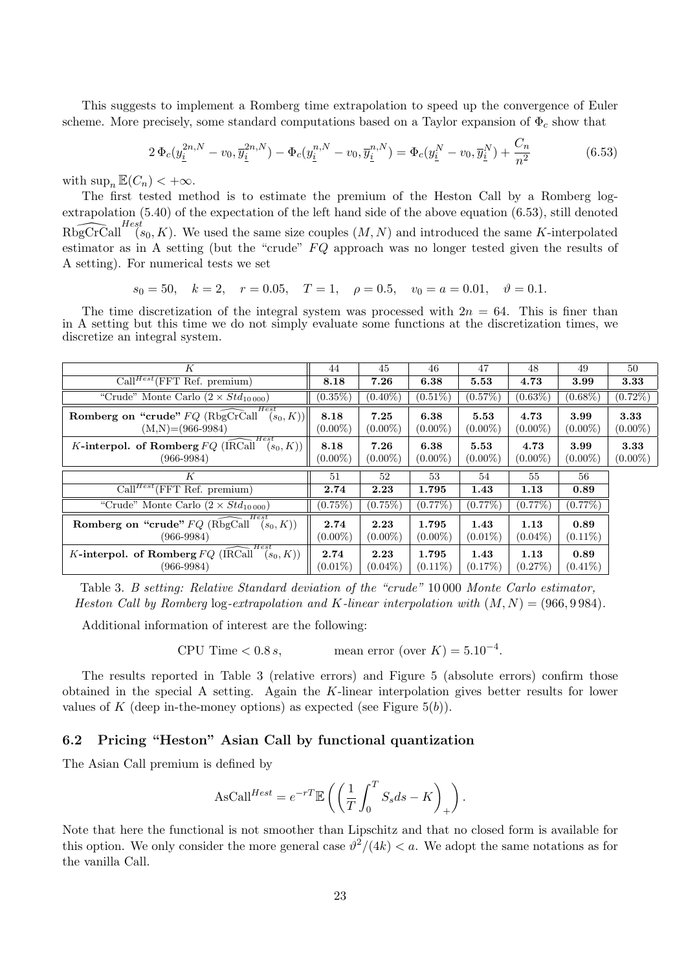This suggests to implement a Romberg time extrapolation to speed up the convergence of Euler scheme. More precisely, some standard computations based on a Taylor expansion of  $\Phi_c$  show that

$$
2\,\Phi_c(y_{\underline{i}}^{2n,N} - v_0, \overline{y}_{\underline{i}}^{2n,N}) - \Phi_c(y_{\underline{i}}^{n,N} - v_0, \overline{y}_{\underline{i}}^{n,N}) = \Phi_c(y_{\underline{i}}^N - v_0, \overline{y}_{\underline{i}}^N) + \frac{C_n}{n^2}
$$
\n(6.53)

with  $\sup_n \mathbb{E}(C_n) < +\infty$ .

The first tested method is to estimate the premium of the Heston Call by a Romberg logextrapolation (5.40) of the expectation of the left hand side of the above equation (6.53), still denoted  $Rbq\widehat{\operatorname{Crcal}}$ <sup>Hest</sup>  $(s_0, K)$ . We used the same size couples  $(M, N)$  and introduced the same K-interpolated estimator as in A setting (but the "crude"  $FQ$  approach was no longer tested given the results of A setting). For numerical tests we set

 $s_0 = 50$ ,  $k = 2$ ,  $r = 0.05$ ,  $T = 1$ ,  $\rho = 0.5$ ,  $v_0 = a = 0.01$ ,  $\vartheta = 0.1$ .

The time discretization of the integral system was processed with  $2n = 64$ . This is finer than in A setting but this time we do not simply evaluate some functions at the discretization times, we discretize an integral system.

| K                                                                             |                    | 45                 | 46                  | 47                 | 48                 | 49                 | 50                 |
|-------------------------------------------------------------------------------|--------------------|--------------------|---------------------|--------------------|--------------------|--------------------|--------------------|
| $\overline{\text{Call}^{Hest}(\text{FFT} \text{ Ref. premium})}$              |                    | 7.26               | 6.38                | 5.53               | 4.73               | 3.99               | 3.33               |
| "Crude" Monte Carlo $(2 \times Std_{10000})$                                  | $(0.35\%)$         | $(0.40\%)$         | $(0.51\%)$          | (0.57%)            | $(0.63\%)$         | $(0.68\%)$         | $(0.72\%)$         |
| Hest<br>Romberg on "crude" FQ (RbgCrCall<br>$(s_0, K))$<br>$(M,N)=(966-9984)$ | 8.18<br>$(0.00\%)$ | 7.25<br>$(0.00\%)$ | 6.38<br>$(0.00\%)$  | 5.53<br>$(0.00\%)$ | 4.73<br>$(0.00\%)$ | 3.99<br>$(0.00\%)$ | 3.33<br>$(0.00\%)$ |
| Hest<br>K-interpol. of Romberg $FQ$ (IRCall<br>$(s_0, K))$<br>$(966 - 9984)$  | 8.18<br>$(0.00\%)$ | 7.26<br>$(0.00\%)$ | 6.38<br>$(0.00\%)$  | 5.53<br>$(0.00\%)$ | 4.73<br>$(0.00\%)$ | 3.99<br>$(0.00\%)$ | 3.33<br>$(0.00\%)$ |
| K                                                                             | 51                 | 52                 | 53                  | 54                 | 55                 | 56                 |                    |
| $\overline{\text{Call}^{Hest}(\text{FFT Ref. premium})}$                      | 2.74               | 2.23               | 1.795               | 1.43               | 1.13               | 0.89               |                    |
| "Crude" Monte Carlo $(2 \times Std_{10000})$                                  | $(0.75\%)$         | $(0.75\%)$         | $(0.77\%)$          | $(0.77\%)$         | $(0.77\%)$         | $(0.77\%)$         |                    |
| Hest<br>Romberg on "crude" FQ (RbgCall<br>$(s_0, K)$<br>$(966 - 9984)$        | 2.74<br>$(0.00\%)$ | 2.23<br>$(0.00\%)$ | 1.795<br>$(0.00\%)$ | 1.43<br>$(0.01\%)$ | 1.13<br>$(0.04\%)$ | 0.89<br>$(0.11\%)$ |                    |
| Hest<br>K-interpol. of Romberg $FQ$ (IRCall<br>$(s_0, K))$<br>(966-9984)      | 2.74<br>$(0.01\%)$ | 2.23<br>$(0.04\%)$ | 1.795<br>$(0.11\%)$ | 1.43<br>$(0.17\%)$ | 1.13<br>$(0.27\%)$ | 0.89<br>$(0.41\%)$ |                    |

Table 3. B setting: Relative Standard deviation of the "crude" 10 000 Monte Carlo estimator, Heston Call by Romberg  $log-extrapolation$  and K-linear interpolation with  $(M, N) = (966, 9984)$ .

Additional information of interest are the following:

CPU Time 
$$
< 0.8 s
$$
, mean error (over  $K$ ) =  $5.10^{-4}$ .

The results reported in Table 3 (relative errors) and Figure 5 (absolute errors) confirm those obtained in the special A setting. Again the K-linear interpolation gives better results for lower values of K (deep in-the-money options) as expected (see Figure  $5(b)$ ).

### 6.2 Pricing "Heston" Asian Call by functional quantization

The Asian Call premium is defined by

$$
\text{AsCall}^{Hest} = e^{-rT} \mathbb{E}\left( \left( \frac{1}{T} \int_0^T S_s ds - K \right)_+ \right).
$$

Note that here the functional is not smoother than Lipschitz and that no closed form is available for this option. We only consider the more general case  $\theta^2/(4k) < a$ . We adopt the same notations as for the vanilla Call.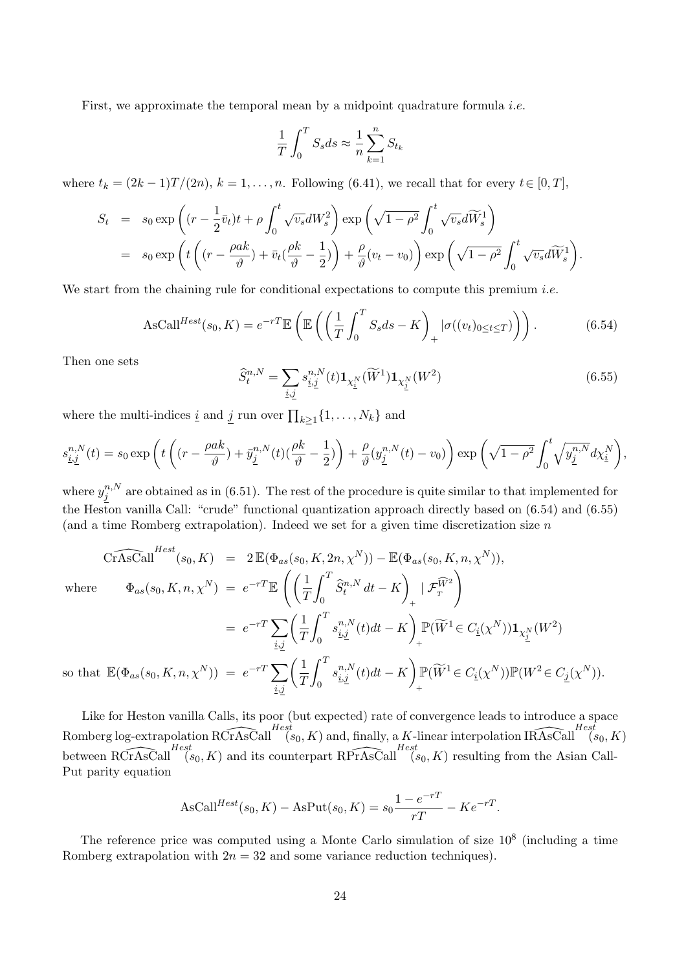First, we approximate the temporal mean by a midpoint quadrature formula *i.e.* 

$$
\frac{1}{T} \int_0^T S_s ds \approx \frac{1}{n} \sum_{k=1}^n S_{t_k}
$$

where  $t_k = (2k-1)T/(2n)$ ,  $k = 1, \ldots, n$ . Following (6.41), we recall that for every  $t \in [0, T]$ ,

$$
S_t = s_0 \exp\left((r - \frac{1}{2}\bar{v}_t)t + \rho \int_0^t \sqrt{v_s} dW_s^2\right) \exp\left(\sqrt{1 - \rho^2} \int_0^t \sqrt{v_s} d\widetilde{W}_s^1\right)
$$
  
=  $s_0 \exp\left(t\left((r - \frac{\rho a k}{\vartheta}) + \bar{v}_t(\frac{\rho k}{\vartheta} - \frac{1}{2})\right) + \frac{\rho}{\vartheta}(v_t - v_0)\right) \exp\left(\sqrt{1 - \rho^2} \int_0^t \sqrt{v_s} d\widetilde{W}_s^1\right).$ 

We start from the chaining rule for conditional expectations to compute this premium *i.e.* 

$$
\text{AsCall}^{Hest}(s_0, K) = e^{-rT} \mathbb{E}\left(\mathbb{E}\left(\left(\frac{1}{T} \int_0^T S_s ds - K\right)_+ |\sigma((v_t)_{0 \le t \le T})\right)\right). \tag{6.54}
$$

Then one sets

$$
\widehat{S}_t^{n,N} = \sum_{\underline{i},\underline{j}} s_{\underline{i},\underline{j}}^{n,N}(t) \mathbf{1}_{\chi_{\underline{i}}^N} (\widetilde{W}^1) \mathbf{1}_{\chi_{\underline{j}}^N} (W^2)
$$
\n(6.55)

.

where the multi-indices  $\underline{i}$  and  $\underline{j}$  run over  $\prod_{k\geq 1} \{1, \ldots, N_k\}$  and

$$
s_{\underline{i},\underline{j}}^{n,N}(t) = s_0 \exp\left(t\left((r - \frac{\rho a k}{\vartheta}) + \bar{y}_{\underline{j}}^{n,N}(t)(\frac{\rho k}{\vartheta} - \frac{1}{2})\right) + \frac{\rho}{\vartheta}(y_{\underline{j}}^{n,N}(t) - v_0)\right) \exp\left(\sqrt{1 - \rho^2} \int_0^t \sqrt{y_{\underline{j}}^{n,N}} d\chi_{\underline{i}}^N\right),
$$

where  $y_i^{n,N}$  $j^{n,N}_{j}$  are obtained as in (6.51). The rest of the procedure is quite similar to that implemented for the Heston vanilla Call: "crude" functional quantization approach directly based on (6.54) and (6.55) (and a time Romberg extrapolation). Indeed we set for a given time discretization size  $n$ 

$$
\widehat{\text{CrAsCall}}^{Hest}(s_0, K) = 2 \mathbb{E}(\Phi_{as}(s_0, K, 2n, \chi^N)) - \mathbb{E}(\Phi_{as}(s_0, K, n, \chi^N)),
$$
\nwhere\n
$$
\Phi_{as}(s_0, K, n, \chi^N) = e^{-rT} \mathbb{E}\left(\left(\frac{1}{T} \int_0^T \widehat{S}_t^{n, N} dt - K\right)_+ | \mathcal{F}_T^{\widehat{W}^2}\right)
$$
\n
$$
= e^{-rT} \sum_{i,j} \left(\frac{1}{T} \int_0^T s_{i,j}^{n, N}(t) dt - K\right)_+ \mathbb{P}(\widetilde{W}^1 \in C_{\underline{i}}(\chi^N)) \mathbf{1}_{\chi^N_{\underline{j}}}(W^2)
$$
\nso that\n
$$
\mathbb{E}(\Phi_{as}(s_0, K, n, \chi^N)) = e^{-rT} \sum_{i,j} \left(\frac{1}{T} \int_0^T s_{i,j}^{n, N}(t) dt - K\right)_+ \mathbb{P}(\widetilde{W}^1 \in C_{\underline{i}}(\chi^N)) \mathbb{P}(W^2 \in C_{\underline{j}}(\chi^N)).
$$

Like for Heston vanilla Calls, its poor (but expected) rate of convergence leads to introduce a space Romberg log-extrapolation RCrAsCall<sup>Hest</sup> $(s_0, K)$  and, finally, a K-linear interpolation IRAsCall<sup>Hest</sup> $(s_0, K)$ between  $\widehat{\text{RCrAsCall}}^{Hest}(s_0, K)$  and its counterpart  $\widehat{\text{RPrAsCall}}^{Hest}(s_0, K)$  resulting from the Asian Call-Put parity equation

$$
\text{AsCall}^{Hest}(s_0, K) - \text{AsPut}(s_0, K) = s_0 \frac{1 - e^{-rT}}{rT} - Ke^{-rT}
$$

The reference price was computed using a Monte Carlo simulation of size  $10^8$  (including a time Romberg extrapolation with  $2n = 32$  and some variance reduction techniques).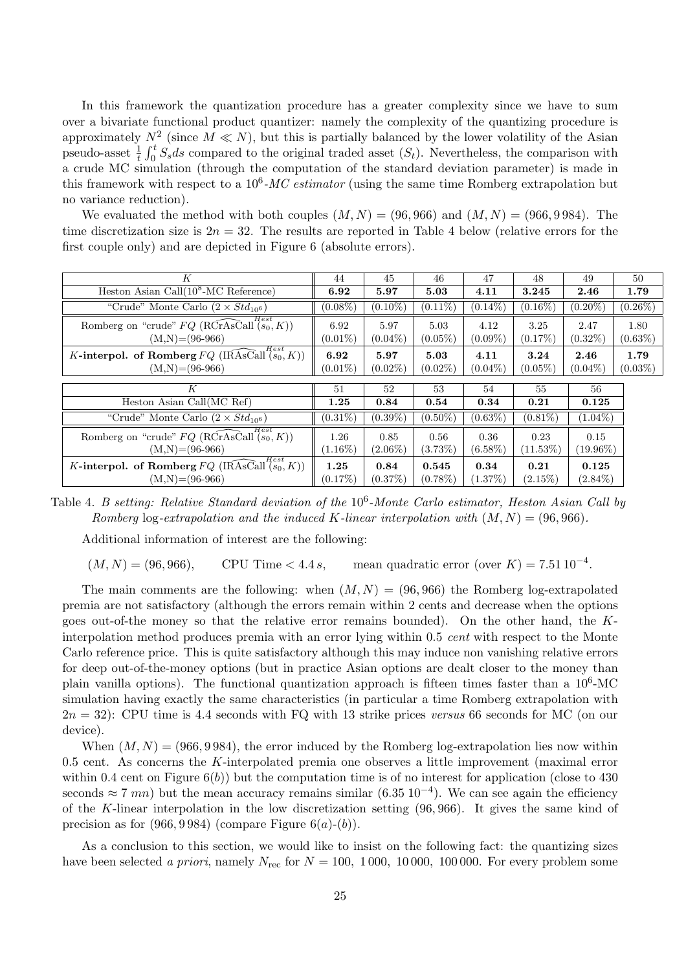In this framework the quantization procedure has a greater complexity since we have to sum over a bivariate functional product quantizer: namely the complexity of the quantizing procedure is approximately  $N^2$  (since  $M \ll N$ ), but this is partially balanced by the lower volatility of the Asian pseudo-asset  $\frac{1}{t}$  $\frac{1}{t}$  $\int_0^t S_s ds$  compared to the original traded asset  $(S_t)$ . Nevertheless, the comparison with a crude MC simulation (through the computation of the standard deviation parameter) is made in this framework with respect to a  $10^6$ -*MC estimator* (using the same time Romberg extrapolation but no variance reduction).

We evaluated the method with both couples  $(M, N) = (96, 966)$  and  $(M, N) = (966, 9984)$ . The time discretization size is  $2n = 32$ . The results are reported in Table 4 below (relative errors for the first couple only) and are depicted in Figure 6 (absolute errors).

| K                                                                                                         | 44                 | 45                 | 46                  | 47                 | 48                  | 49                  | 50                 |
|-----------------------------------------------------------------------------------------------------------|--------------------|--------------------|---------------------|--------------------|---------------------|---------------------|--------------------|
| Heston Asian Call $(10^8 \text{-}MC \text{ Reference})$                                                   | 6.92               | 5.97               | 5.03                | 4.11               | 3.245               | 2.46                | 1.79               |
| "Crude" Monte Carlo $(2 \times Std_{10^6})$                                                               | $(0.08\%)$         | $(0.10\%)$         | $(0.11\%)$          | $(0.14\%)$         | $(0.16\%)$          | $(0.20\%)$          | $(0.26\%)$         |
| Hest<br>Romberg on "crude" $FQ$ (RCrAsCall $(s_0, K)$ )<br>$(M,N)=(96-966)$                               | 6.92<br>$(0.01\%)$ | 5.97<br>$(0.04\%)$ | 5.03<br>$(0.05\%)$  | 4.12<br>$(0.09\%)$ | 3.25<br>$(0.17\%)$  | 2.47<br>$(0.32\%)$  | 1.80<br>$(0.63\%)$ |
| $H$ est<br>K-interpol. of Romberg $FQ$ (IRAsCall $(s_0, K)$ )<br>$(M,N)=(96-966)$                         | 6.92<br>$(0.01\%)$ | 5.97<br>$(0.02\%)$ | 5.03<br>$(0.02\%)$  | 4.11<br>$(0.04\%)$ | 3.24<br>$(0.05\%)$  | 2.46<br>$(0.04\%)$  | 1.79<br>$(0.03\%)$ |
| К                                                                                                         | 51                 | 52                 | 53                  | 54                 | 55                  | 56                  |                    |
| Heston Asian Call(MC Ref)                                                                                 | 1.25               | 0.84               | 0.54                | 0.34               | 0.21                | 0.125               |                    |
| "Crude" Monte Carlo $(2 \times Std_{10^6})$                                                               | $(0.31\%)$         | $(0.39\%)$         | $(0.50\%)$          | $(0.63\%)$         | $(0.81\%)$          | $(1.04\%)$          |                    |
| Romberg on "crude" $FQ \left( \widehat{\text{RCrAsCall}}\left(s_0, K \right) \right)$<br>$(M,N)=(96-966)$ | 1.26<br>$(1.16\%)$ | 0.85<br>$(2.06\%)$ | 0.56<br>$(3.73\%)$  | 0.36<br>$(6.58\%)$ | 0.23<br>$(11.53\%)$ | 0.15<br>$(19.96\%)$ |                    |
| Hest<br>K-interpol. of Romberg $FQ$ (IRAsCall $(s_0, K)$ )<br>$(M,N)=(96-966)$                            | 1.25<br>$(0.17\%)$ | 0.84<br>$(0.37\%)$ | 0.545<br>$(0.78\%)$ | 0.34<br>$(1.37\%)$ | 0.21<br>$(2.15\%)$  | 0.125<br>$(2.84\%)$ |                    |

Table 4. B setting: Relative Standard deviation of the 10<sup>6</sup>-Monte Carlo estimator, Heston Asian Call by Romberg log-extrapolation and the induced K-linear interpolation with  $(M, N) = (96, 966)$ .

Additional information of interest are the following:

 $(M, N) = (96, 966),$  CPU Time < 4.4 s, mean quadratic error (over K) = 7.51 10<sup>-4</sup>.

The main comments are the following: when  $(M, N) = (96, 966)$  the Romberg log-extrapolated premia are not satisfactory (although the errors remain within 2 cents and decrease when the options goes out-of-the money so that the relative error remains bounded). On the other hand, the Kinterpolation method produces premia with an error lying within 0.5 cent with respect to the Monte Carlo reference price. This is quite satisfactory although this may induce non vanishing relative errors for deep out-of-the-money options (but in practice Asian options are dealt closer to the money than plain vanilla options). The functional quantization approach is fifteen times faster than a  $10^6$ -MC simulation having exactly the same characteristics (in particular a time Romberg extrapolation with  $2n = 32$ : CPU time is 4.4 seconds with FQ with 13 strike prices versus 66 seconds for MC (on our device).

When  $(M, N) = (966, 9984)$ , the error induced by the Romberg log-extrapolation lies now within 0.5 cent. As concerns the K-interpolated premia one observes a little improvement (maximal error within 0.4 cent on Figure  $6(b)$ ) but the computation time is of no interest for application (close to 430) seconds  $\approx 7 \, \text{mn}$ ) but the mean accuracy remains similar (6.35 10<sup>-4</sup>). We can see again the efficiency of the K-linear interpolation in the low discretization setting (96, 966). It gives the same kind of precision as for  $(966, 9984)$  (compare Figure  $6(a)-(b)$ ).

As a conclusion to this section, we would like to insist on the following fact: the quantizing sizes have been selected a priori, namely  $N_{\text{rec}}$  for  $N = 100, 1000, 10000, 100000$ . For every problem some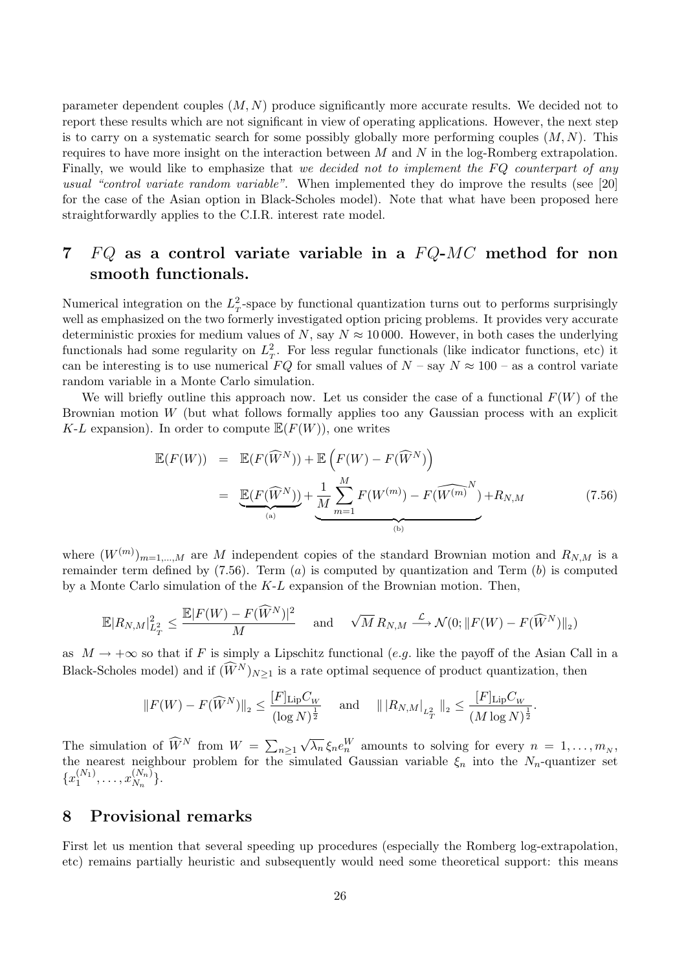parameter dependent couples  $(M, N)$  produce significantly more accurate results. We decided not to report these results which are not significant in view of operating applications. However, the next step is to carry on a systematic search for some possibly globally more performing couples  $(M, N)$ . This requires to have more insight on the interaction between  $M$  and  $N$  in the log-Romberg extrapolation. Finally, we would like to emphasize that we decided not to implement the  $FQ$  counterpart of any usual "control variate random variable". When implemented they do improve the results (see [20] for the case of the Asian option in Black-Scholes model). Note that what have been proposed here straightforwardly applies to the C.I.R. interest rate model.

# 7  $FQ$  as a control variate variable in a  $FQ$ - $MC$  method for non smooth functionals.

Numerical integration on the  $L_T^2$ -space by functional quantization turns out to performs surprisingly well as emphasized on the two formerly investigated option pricing problems. It provides very accurate deterministic proxies for medium values of N, say  $N \approx 10000$ . However, in both cases the underlying functionals had some regularity on  $L_T^2$ . For less regular functionals (like indicator functions, etc) it can be interesting is to use numerical  $FQ$  for small values of  $N$  – say  $N \approx 100$  – as a control variate random variable in a Monte Carlo simulation.

We will briefly outline this approach now. Let us consider the case of a functional  $F(W)$  of the Brownian motion  $W$  (but what follows formally applies too any Gaussian process with an explicit K-L expansion). In order to compute  $\mathbb{E}(F(W))$ , one writes

$$
\mathbb{E}(F(W)) = \mathbb{E}(F(\widehat{W}^{N})) + \mathbb{E}\left(F(W) - F(\widehat{W}^{N})\right)
$$
  
= 
$$
\underbrace{\mathbb{E}(F(\widehat{W}^{N}))}_{\text{(a)}} + \underbrace{\frac{1}{M} \sum_{m=1}^{M} F(W^{(m)}) - F(\widehat{W^{(m)}}^{N})}_{\text{(b)}} + R_{N,M}
$$
(7.56)

where  $(W^{(m)})_{m=1,\dots,M}$  are M independent copies of the standard Brownian motion and  $R_{N,M}$  is a remainder term defined by  $(7.56)$ . Term  $(a)$  is computed by quantization and Term  $(b)$  is computed by a Monte Carlo simulation of the  $K-L$  expansion of the Brownian motion. Then,

$$
\mathbb{E}|R_{N,M}|_{L^2_T}^2 \le \frac{\mathbb{E}|F(W) - F(\widehat{W}^N)|^2}{M} \quad \text{ and } \quad \sqrt{M}R_{N,M} \stackrel{\mathcal{L}}{\longrightarrow} \mathcal{N}(0; \|F(W) - F(\widehat{W}^N)\|_2)
$$

as  $M \to +\infty$  so that if F is simply a Lipschitz functional (e.g. like the payoff of the Asian Call in a Black-Scholes model) and if  $(\widehat{W}^N)_{N\geq 1}$  is a rate optimal sequence of product quantization, then

$$
||F(W) - F(\widehat{W}^{N})||_2 \le \frac{[F]_{\text{Lip}} C_W}{(\log N)^{\frac{1}{2}}} \quad \text{ and } \quad |||R_{N,M}|_{L^2_T} ||_2 \le \frac{[F]_{\text{Lip}} C_W}{(M \log N)^{\frac{1}{2}}}.
$$

The simulation of  $\widehat{W}^N$  from  $W = \sum$  $n\geq 1$  $\sqrt{\lambda_n} \xi_n e_n^W$  amounts to solving for every  $n = 1, \ldots, m_N$ , the nearest neighbour problem for the simulated Gaussian variable  $\xi_n$  into the N<sub>n</sub>-quantizer set  $\{x_1^{(N_1)}\}$  $\binom{(N_1)}{1},\ldots,\binom{(N_n)}{N_n}$  $\binom{N_n}{N_n}$ .

# 8 Provisional remarks

First let us mention that several speeding up procedures (especially the Romberg log-extrapolation, etc) remains partially heuristic and subsequently would need some theoretical support: this means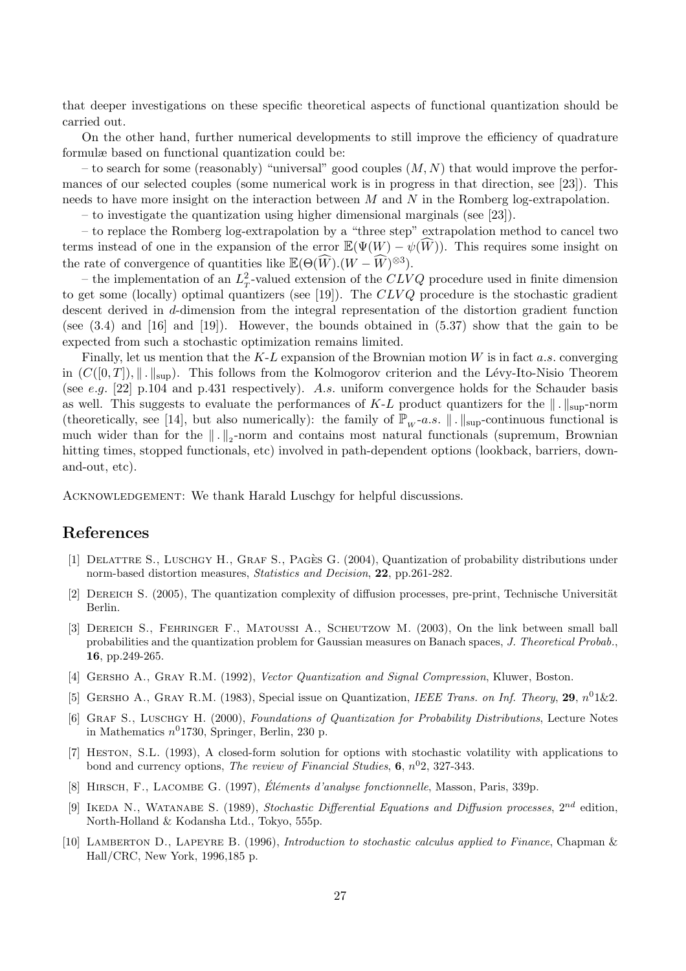that deeper investigations on these specific theoretical aspects of functional quantization should be carried out.

On the other hand, further numerical developments to still improve the efficiency of quadrature formulæ based on functional quantization could be:

– to search for some (reasonably) "universal" good couples  $(M, N)$  that would improve the performances of our selected couples (some numerical work is in progress in that direction, see [23]). This needs to have more insight on the interaction between  $M$  and  $N$  in the Romberg log-extrapolation.

– to investigate the quantization using higher dimensional marginals (see [23]).

– to replace the Romberg log-extrapolation by a "three step" extrapolation method to cancel two terms instead of one in the expansion of the error  $\mathbb{E}(\Psi(W) - \psi(\hat{W}))$ . This requires some insight on the rate of convergence of quantities like  $\mathbb{E}(\Theta(\widehat{W}).(W - \widehat{W})^{\otimes 3})$ .

– the implementation of an  $L_T^2$ -valued extension of the  $CLVQ$  procedure used in finite dimension to get some (locally) optimal quantizers (see [19]). The CLVQ procedure is the stochastic gradient descent derived in d-dimension from the integral representation of the distortion gradient function (see  $(3.4)$  and  $[16]$  and  $[19]$ ). However, the bounds obtained in  $(5.37)$  show that the gain to be expected from such a stochastic optimization remains limited.

Finally, let us mention that the  $K-L$  expansion of the Brownian motion W is in fact a.s. converging in  $(C([0,T]), \| \| \|_{\text{sup}})$ . This follows from the Kolmogorov criterion and the Lévy-Ito-Nisio Theorem (see e.g. [22] p.104 and p.431 respectively). A.s. uniform convergence holds for the Schauder basis as well. This suggests to evaluate the performances of K-L product quantizers for the  $\|\cdot\|_{\text{sun}}$ -norm (theoretically, see [14], but also numerically): the family of  $\mathbb{P}_{w}$ -a.s.  $\|\cdot\|_{\sup}$ -continuous functional is much wider than for the  $\|\cdot\|_2$ -norm and contains most natural functionals (supremum, Brownian hitting times, stopped functionals, etc) involved in path-dependent options (lookback, barriers, downand-out, etc).

ACKNOWLEDGEMENT: We thank Harald Luschgy for helpful discussions.

## References

- [1] DELATTRE S., LUSCHGY H., GRAF S., PAGÈS G. (2004), Quantization of probability distributions under norm-based distortion measures, Statistics and Decision, 22, pp.261-282.
- [2] DEREICH S. (2005), The quantization complexity of diffusion processes, pre-print, Technische Universität Berlin.
- [3] Dereich S., Fehringer F., Matoussi A., Scheutzow M. (2003), On the link between small ball probabilities and the quantization problem for Gaussian measures on Banach spaces, J. Theoretical Probab., 16, pp.249-265.
- [4] Gersho A., Gray R.M. (1992), Vector Quantization and Signal Compression, Kluwer, Boston.
- [5] GERSHO A., GRAY R.M. (1983), Special issue on Quantization, IEEE Trans. on Inf. Theory, 29,  $n^01\&2$ .
- [6] GRAF S., LUSCHGY H. (2000), Foundations of Quantization for Probability Distributions, Lecture Notes in Mathematics  $n^0$ 1730, Springer, Berlin, 230 p.
- [7] Heston, S.L. (1993), A closed-form solution for options with stochastic volatility with applications to bond and currency options, The review of Financial Studies,  $6, n<sup>0</sup>2, 327-343$ .
- [8] HIRSCH, F., LACOMBE G. (1997), Éléments d'analyse fonctionnelle, Masson, Paris, 339p.
- [9] IKEDA N., WATANABE S. (1989), Stochastic Differential Equations and Diffusion processes,  $2^{nd}$  edition, North-Holland & Kodansha Ltd., Tokyo, 555p.
- [10] Lamberton D., Lapeyre B. (1996), Introduction to stochastic calculus applied to Finance, Chapman & Hall/CRC, New York, 1996,185 p.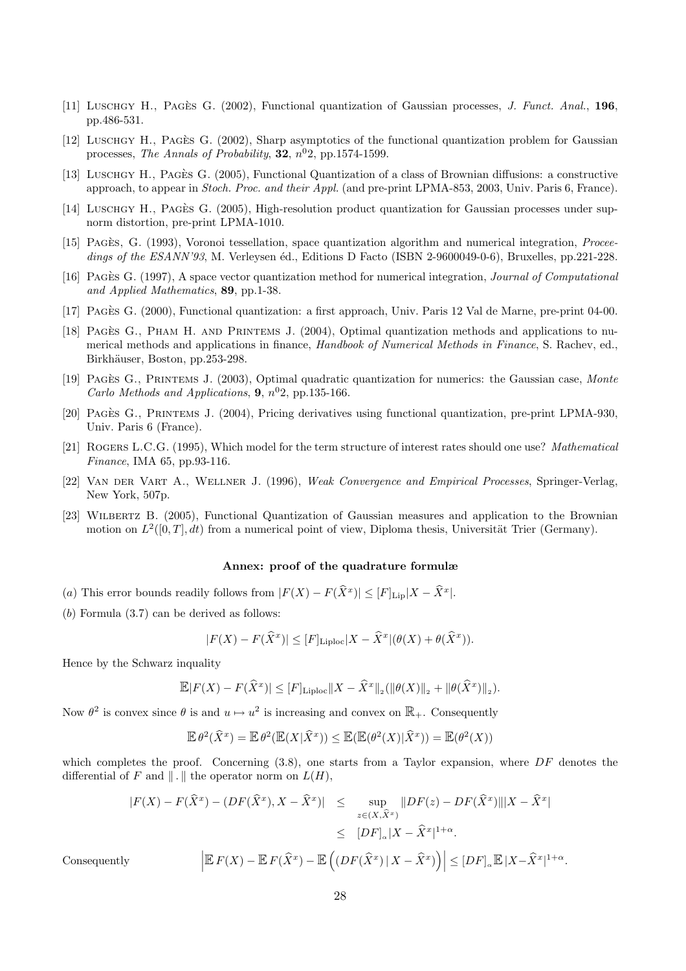- [11] LUSCHGY H., PAGES G. (2002), Functional quantization of Gaussian processes, J. Funct. Anal., 196, pp.486-531.
- [12] LUSCHGY H., PAGES G. (2002), Sharp asymptotics of the functional quantization problem for Gaussian processes, The Annals of Probability,  $32$ ,  $n^02$ , pp.1574-1599.
- [13] LUSCHGY H., PAGES G. (2005), Functional Quantization of a class of Brownian diffusions: a constructive approach, to appear in Stoch. Proc. and their Appl. (and pre-print LPMA-853, 2003, Univ. Paris 6, France).
- [14] LUSCHGY H., PAGES G. (2005), High-resolution product quantization for Gaussian processes under supnorm distortion, pre-print LPMA-1010.
- [15] Pages, G. (1993), Voronoi tessellation, space quantization algorithm and numerical integration, *Procee*dings of the ESANN'93, M. Verleysen éd., Editions D Facto (ISBN 2-9600049-0-6), Bruxelles, pp.221-228.
- [16] PAGES G. (1997), A space vector quantization method for numerical integration, *Journal of Computational* and Applied Mathematics, 89, pp.1-38.
- [17] PAGES G. (2000), Functional quantization: a first approach, Univ. Paris 12 Val de Marne, pre-print 04-00.
- [18] PAGES G., PHAM H. AND PRINTEMS J. (2004), Optimal quantization methods and applications to numerical methods and applications in finance, Handbook of Numerical Methods in Finance, S. Rachev, ed., Birkhäuser, Boston, pp.253-298.
- [19] PAGES G., PRINTEMS J. (2003), Optimal quadratic quantization for numerics: the Gaussian case, Monte Carlo Methods and Applications,  $9, n<sup>0</sup>2$ , pp.135-166.
- [20] Pages G., Printems J. (2004), Pricing derivatives using functional quantization, pre-print LPMA-930, Univ. Paris 6 (France).
- [21] Rogers L.C.G. (1995), Which model for the term structure of interest rates should one use? Mathematical Finance, IMA 65, pp.93-116.
- [22] Van der Vart A., Wellner J. (1996), Weak Convergence and Empirical Processes, Springer-Verlag, New York, 507p.
- [23] Wilbertz B. (2005), Functional Quantization of Gaussian measures and application to the Brownian motion on  $L^2([0,T], dt)$  from a numerical point of view, Diploma thesis, Universität Trier (Germany).

#### Annex: proof of the quadrature formulæ

- (a) This error bounds readily follows from  $|F(X) F(\hat{X}^x)| \leq [F]_{\text{Lip}}|X \hat{X}^x|$ .
- (b) Formula (3.7) can be derived as follows:

$$
|F(X) - F(\widehat{X}^x)| \le [F]_{\text{Liploc}} |X - \widehat{X}^x| (\theta(X) + \theta(\widehat{X}^x)).
$$

Hence by the Schwarz inquality

$$
\mathbb{E}|F(X) - F(\widehat{X}^x)| \le [F]_{\text{Liploc}} \|X - \widehat{X}^x\|_2 (\|\theta(X)\|_2 + \|\theta(\widehat{X}^x)\|_2).
$$

Now  $\theta^2$  is convex since  $\theta$  is and  $u \mapsto u^2$  is increasing and convex on  $\mathbb{R}_+$ . Consequently

$$
\mathbb{E}\,\theta^2(\widehat{X}^x) = \mathbb{E}\,\theta^2(\mathbb{E}(X|\widehat{X}^x)) \le \mathbb{E}(\mathbb{E}(\theta^2(X)|\widehat{X}^x)) = \mathbb{E}(\theta^2(X))
$$

which completes the proof. Concerning  $(3.8)$ , one starts from a Taylor expansion, where DF denotes the differential of F and  $\| \cdot \|$  the operator norm on  $L(H)$ ,

$$
|F(X) - F(\hat{X}^x) - (DF(\hat{X}^x), X - \hat{X}^x)| \le \sup_{z \in (X, \hat{X}^x)} ||DF(z) - DF(\hat{X}^x)|||X - \hat{X}^x|
$$
  

$$
\le |DF|_{\alpha}|X - \hat{X}^x|^{1+\alpha}.
$$
  

$$
\left| \mathbb{E} F(X) - \mathbb{E} F(\hat{X}^x) - \mathbb{E} \left( (DF(\hat{X}^x) | X - \hat{X}^x) \right) \right| \le |DF|_{\alpha} \mathbb{E} |X - \hat{X}^x|^{1+\alpha}.
$$

Consequently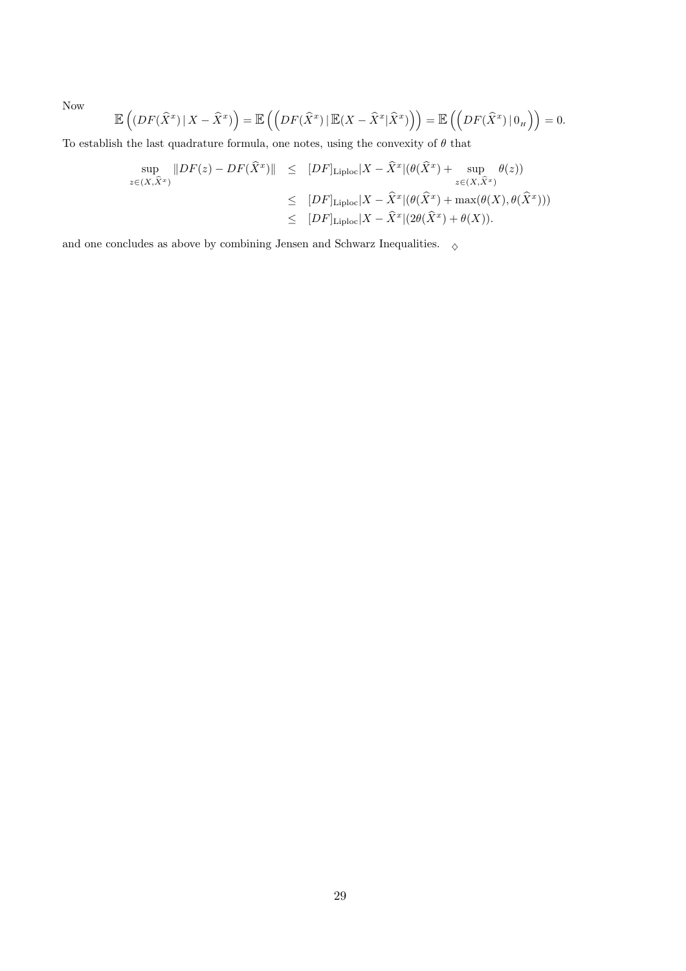Now

$$
\mathbb{E}\left(\left(DF(\widehat{X}^x) \,|\, X - \widehat{X}^x\right)\right) = \mathbb{E}\left(\left(DF(\widehat{X}^x) \,|\, \mathbb{E}(X - \widehat{X}^x | \widehat{X}^x)\right)\right) = \mathbb{E}\left(\left(DF(\widehat{X}^x) \,|\, 0_{\scriptscriptstyle H}\right)\right) = 0.
$$

To establish the last quadrature formula, one notes, using the convexity of  $\theta$  that

$$
\sup_{z \in (X,\hat{X}^x)} \|DF(z) - DF(\hat{X}^x)\| \leq [DF]_{\text{Liploc}} |X - \hat{X}^x| (\theta(\hat{X}^x) + \sup_{z \in (X,\hat{X}^x)} \theta(z))
$$
  

$$
\leq [DF]_{\text{Liploc}} |X - \hat{X}^x| (\theta(\hat{X}^x) + \max(\theta(X), \theta(\hat{X}^x)))
$$
  

$$
\leq [DF]_{\text{Liploc}} |X - \hat{X}^x| (2\theta(\hat{X}^x) + \theta(X)).
$$

and one concludes as above by combining Jensen and Schwarz Inequalities.  $~\diamond~$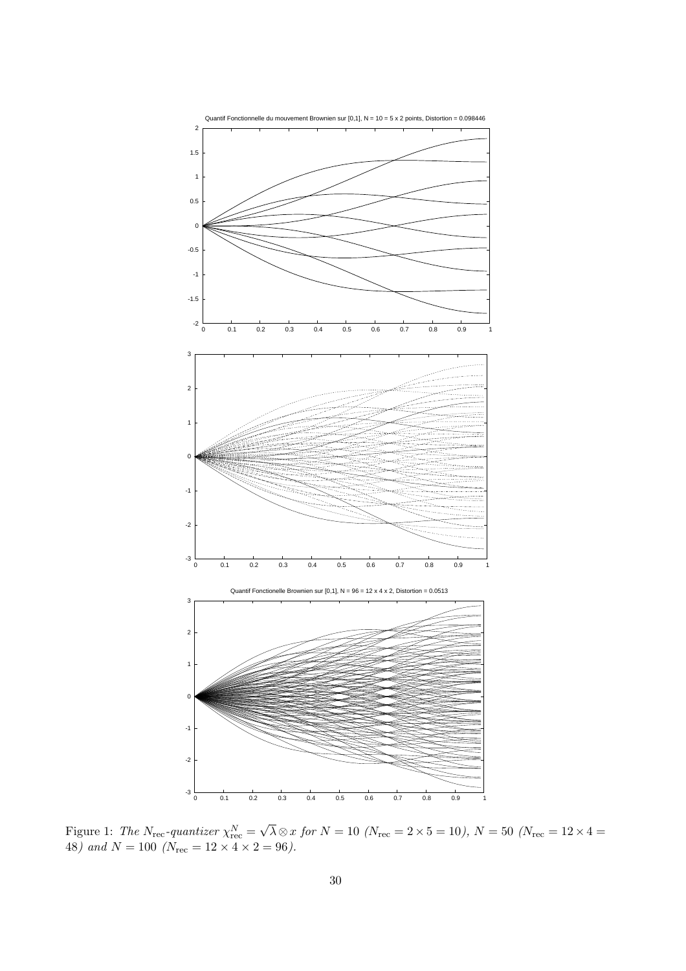

Figure 1: The  $N_{\text{rec}}$ -quantizer  $\chi_{\text{rec}}^N$  =  $\lambda \otimes x$  for  $N = 10$  ( $N_{\text{rec}} = 2 \times 5 = 10$ ),  $N = 50$  ( $N_{\text{rec}} = 12 \times 4 = 10$ 48) and  $N = 100$  ( $N_{\text{rec}} = 12 \times 4 \times 2 = 96$ ).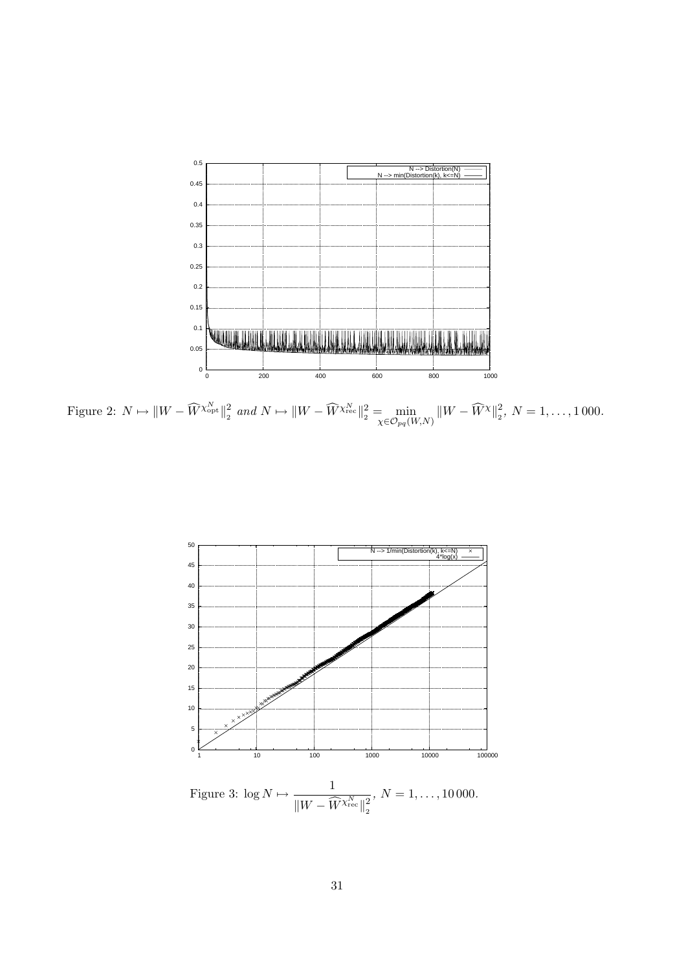

Figure 2:  $N \mapsto ||W - \widehat{W}^{\chi_{\text{opt}}^N}||_2^2$  and  $N \mapsto ||W - \widehat{W}^{\chi_{\text{rec}}^N}||_2^2 = \min_{\chi \in \mathcal{O}_{pq}(W,N)} ||W - \widehat{W}^{\chi}||_2^2$ ,  $N = 1, ..., 1000$ .

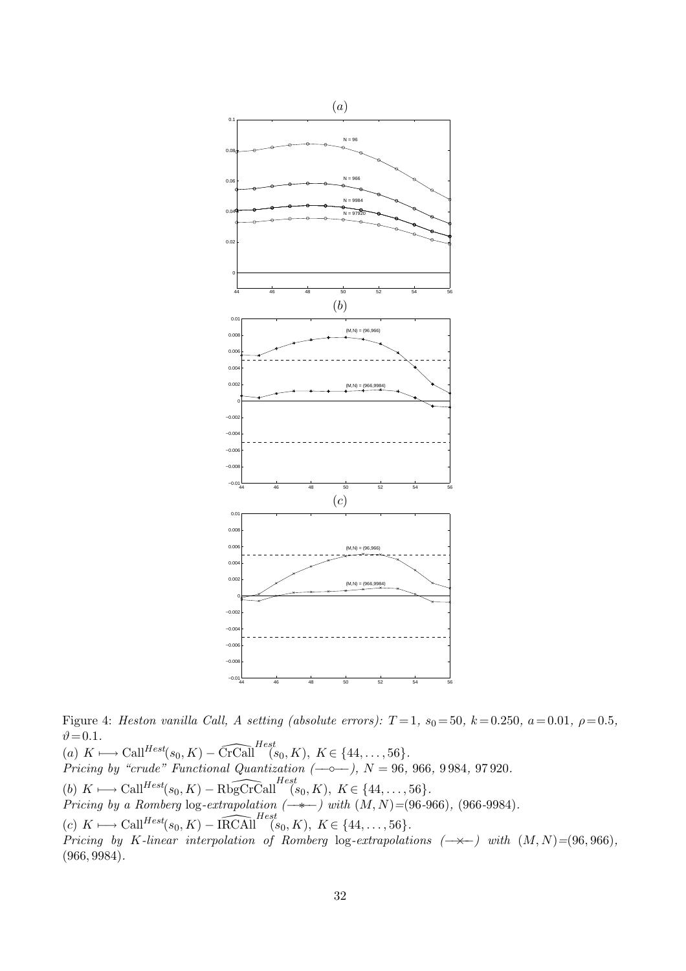

Figure 4: Heston vanilla Call, A setting (absolute errors):  $T=1$ ,  $s_0=50$ ,  $k=0.250$ ,  $a=0.01$ ,  $\rho=0.5$ ,  $\vartheta = 0.1$ .

(a)  $K \longrightarrow \text{Call}^{Hest}(s_0, K) - \widehat{\text{CrCall}}^{Hest}(s_0, K), K \in \{44, \ldots, 56\}.$ Pricing by "crude" Functional Quantization  $(-\circ-), N = 96, 966, 9984, 97920$ . (b)  $K \longmapsto \text{Call}^{Hest}(s_0, K) - \widehat{\text{RbgCrCall}}^{Hest}(s_0, K), K \in \{44, \ldots, 56\}.$ Pricing by a Romberg log-extrapolation  $(\rightarrow \leftarrow)$  with  $(M, N) = (96-966)$ , (966-9984).  $(c)$  K  $\longmapsto$  Call<sup>Hest</sup> $(s_0, K)$  – IRCAll  $\bigcap_{s=0}^{Hest}(s_0, K)$ ,  $K \in \{44, ..., 56\}.$ Pricing by K-linear interpolation of Romberg log-extrapolations  $(→-)$  with  $(M, N) = (96, 966)$ , (966, 9984).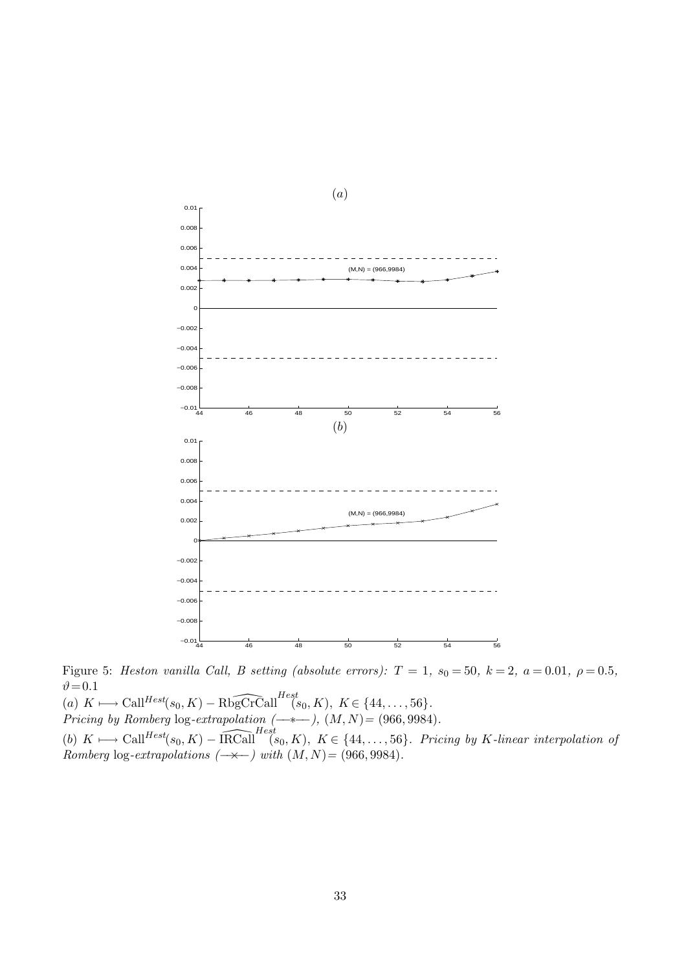

Figure 5: Heston vanilla Call, B setting (absolute errors):  $T = 1$ ,  $s_0 = 50$ ,  $k = 2$ ,  $a = 0.01$ ,  $\rho = 0.5$ ,  $\vartheta = 0.1$ 

(a)  $K \longmapsto \text{Call}^{Hest}(s_0, K) - \widehat{\text{RbgCrCall}}^{Hest}(s_0, K), K \in \{44, \ldots, 56\}.$ Pricing by Romberg log-extrapolation  $(\rightarrow \leftarrow), (M, N) = (966, 9984).$ 

(b)  $K \longmapsto \text{Call}^{Hest}(s_0, K) - \widehat{\text{IRCall}}^{Hest}(s_0, K), K \in \{44, \ldots, 56\}.$  Pricing by K-linear interpolation of Romberg log-extrapolations  $(\rightarrow \leftarrow)$  with  $(M, N) = (966, 9984)$ .